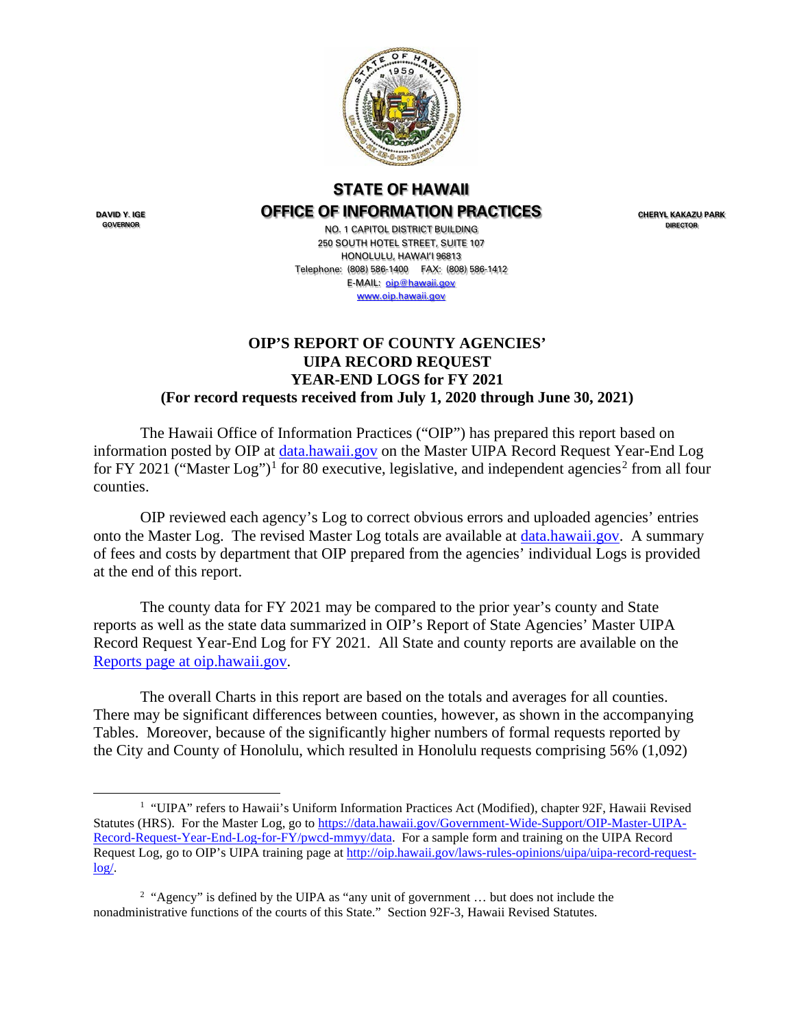

## **STATE OF HAWAII OFFICE OF INFORMATION PRACTICES**

**DAVID Y. IGE GOVERNOR**

NO. 1 CAPITOL DISTRICT BUILDING 250 SOUTH HOTEL STREET, SUITE 107 HONOLULU, HAWAI'I 96813 Telephone: (808) 586-1400 FAX: (808) 586-1412 E-MAIL: **oip@hawaii.gov** [www.oip.hawaii.gov](http://www.oip.hawaii.gov/)

**CHERYL KAKAZU PARK DIRECTOR**

## **OIP'S REPORT OF COUNTY AGENCIES' UIPA RECORD REQUEST YEAR-END LOGS for FY 2021 (For record requests received from July 1, 2020 through June 30, 2021)**

The Hawaii Office of Information Practices ("OIP") has prepared this report based on information posted by OIP at [data.hawaii.gov](https://data.hawaii.gov/) on the Master UIPA Record Request Year-End Log for FY 202[1](#page-0-0) ("Master Log")<sup>1</sup> for 80 executive, legislative, and independent agencies<sup>[2](#page-0-1)</sup> from all four counties.

OIP reviewed each agency's Log to correct obvious errors and uploaded agencies' entries onto the Master Log. The revised Master Log totals are available at [data.hawaii.gov.](https://data.hawaii.gov/) A summary of fees and costs by department that OIP prepared from the agencies' individual Logs is provided at the end of this report.

The county data for FY 2021 may be compared to the prior year's county and State reports as well as the state data summarized in OIP's Report of State Agencies' Master UIPA Record Request Year-End Log for FY 2021. All State and county reports are available on the [Reports page at oip.hawaii.gov.](http://oip.hawaii.gov/uipa-record-request-log-reports/)

The overall Charts in this report are based on the totals and averages for all counties. There may be significant differences between counties, however, as shown in the accompanying Tables. Moreover, because of the significantly higher numbers of formal requests reported by the City and County of Honolulu, which resulted in Honolulu requests comprising 56% (1,092)

<span id="page-0-0"></span><sup>&</sup>lt;sup>1</sup> "UIPA" refers to Hawaii's Uniform Information Practices Act (Modified), chapter 92F, Hawaii Revised Statutes (HRS). For the Master Log, go to [https://data.hawaii.gov/Government-Wide-Support/OIP-Master-UIPA-](https://data.hawaii.gov/Government-Wide-Support/OIP-Master-UIPA-Record-Request-Year-End-Log-for-FY/pwcd-mmyy/data)[Record-Request-Year-End-Log-for-FY/pwcd-mmyy/data.](https://data.hawaii.gov/Government-Wide-Support/OIP-Master-UIPA-Record-Request-Year-End-Log-for-FY/pwcd-mmyy/data) For a sample form and training on the UIPA Record Request Log, go to OIP's UIPA training page at [http://oip.hawaii.gov/laws-rules-opinions/uipa/uipa-record-request](http://oip.hawaii.gov/laws-rules-opinions/uipa/uipa-record-request-log/)[log/.](http://oip.hawaii.gov/laws-rules-opinions/uipa/uipa-record-request-log/)

<span id="page-0-1"></span><sup>&</sup>lt;sup>2</sup> "Agency" is defined by the UIPA as "any unit of government ... but does not include the nonadministrative functions of the courts of this State." Section 92F-3, Hawaii Revised Statutes.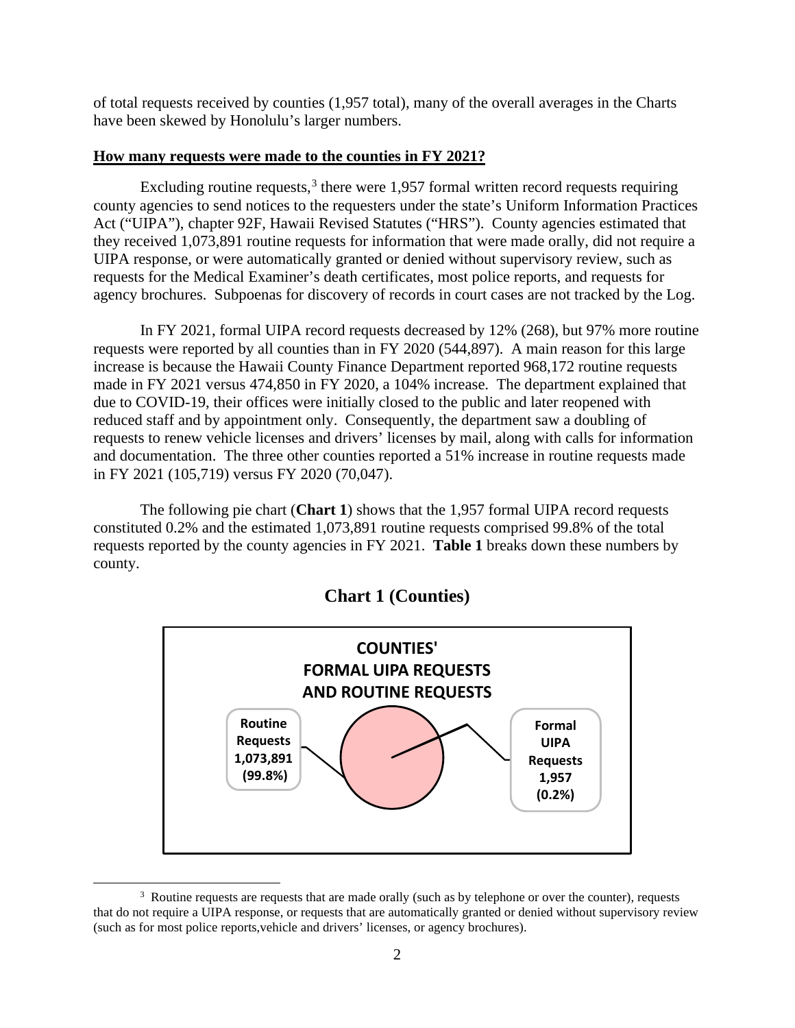of total requests received by counties (1,957 total), many of the overall averages in the Charts have been skewed by Honolulu's larger numbers.

## **How many requests were made to the counties in FY 2021?**

Excluding routine requests, $3$  there were 1,957 formal written record requests requiring county agencies to send notices to the requesters under the state's Uniform Information Practices Act ("UIPA"), chapter 92F, Hawaii Revised Statutes ("HRS"). County agencies estimated that they received 1,073,891 routine requests for information that were made orally, did not require a UIPA response, or were automatically granted or denied without supervisory review, such as requests for the Medical Examiner's death certificates, most police reports, and requests for agency brochures. Subpoenas for discovery of records in court cases are not tracked by the Log.

In FY 2021, formal UIPA record requests decreased by 12% (268), but 97% more routine requests were reported by all counties than in FY 2020 (544,897). A main reason for this large increase is because the Hawaii County Finance Department reported 968,172 routine requests made in FY 2021 versus 474,850 in FY 2020, a 104% increase. The department explained that due to COVID-19, their offices were initially closed to the public and later reopened with reduced staff and by appointment only. Consequently, the department saw a doubling of requests to renew vehicle licenses and drivers' licenses by mail, along with calls for information and documentation. The three other counties reported a 51% increase in routine requests made in FY 2021 (105,719) versus FY 2020 (70,047).

The following pie chart (**Chart 1**) shows that the 1,957 formal UIPA record requests constituted 0.2% and the estimated 1,073,891 routine requests comprised 99.8% of the total requests reported by the county agencies in FY 2021. **Table 1** breaks down these numbers by county.



# **Chart 1 (Counties)**

<span id="page-1-0"></span><sup>&</sup>lt;sup>3</sup> Routine requests are requests that are made orally (such as by telephone or over the counter), requests that do not require a UIPA response, or requests that are automatically granted or denied without supervisory review (such as for most police reports,vehicle and drivers' licenses, or agency brochures).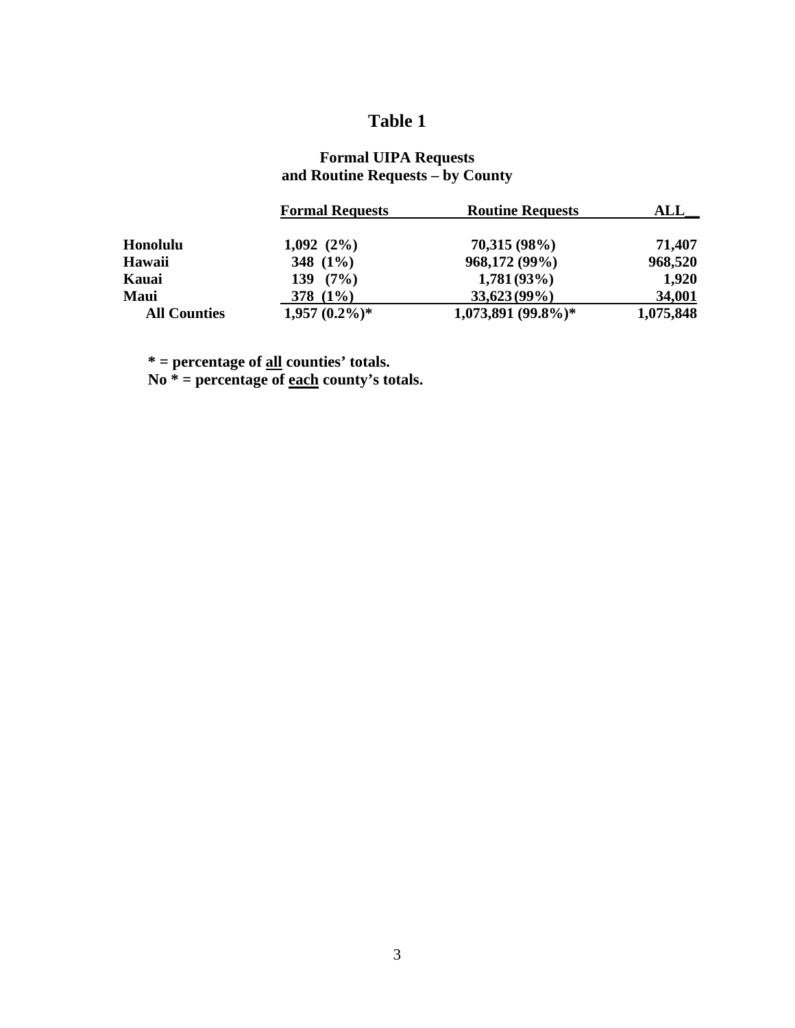# **Table 1**

## **Formal UIPA Requests and Routine Requests – by County**

|                     | <b>Formal Requests</b> | <b>Routine Requests</b> | ALL       |
|---------------------|------------------------|-------------------------|-----------|
| <b>Honolulu</b>     | 1,092(2%)              | 70,315(98%)             | 71,407    |
| Hawaii              | 348 $(1\%)$            | 968,172 (99%)           | 968,520   |
| Kauai               | $139(7\%)$             | 1,781(93%)              | 1,920     |
| <b>Maui</b>         | 378 $(1%)$             | $33,623(99\%)$          | 34,001    |
| <b>All Counties</b> | $1,957(0.2\%)*$        | $1,073,891$ (99.8%)*    | 1,075,848 |

 **\* = percentage of all counties' totals.**

 **No \* = percentage of each county's totals.**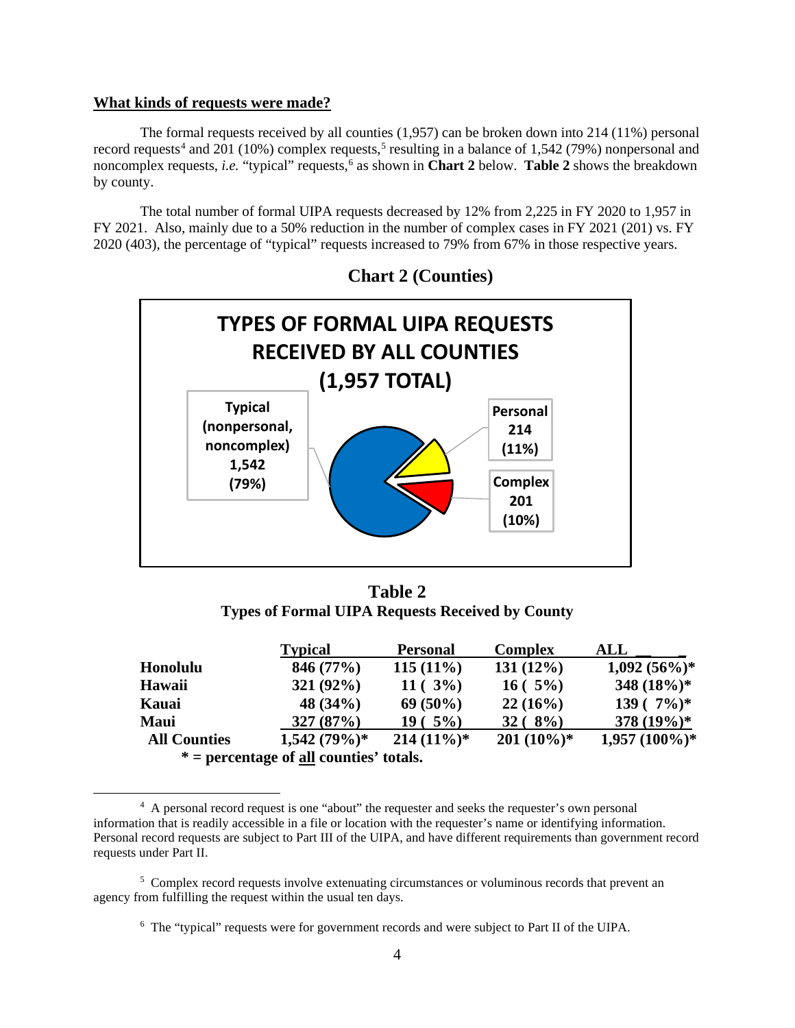#### **What kinds of requests were made?**

The formal requests received by all counties (1,957) can be broken down into 214 (11%) personal record requests<sup>[4](#page-3-0)</sup> and 201 (10%) complex requests,<sup>[5](#page-3-1)</sup> resulting in a balance of 1,542 (79%) nonpersonal and noncomplex requests, *i.e.* "typical" requests,<sup>[6](#page-3-2)</sup> as shown in **Chart 2** below. **Table 2** shows the breakdown by county.

The total number of formal UIPA requests decreased by 12% from 2,225 in FY 2020 to 1,957 in FY 2021. Also, mainly due to a 50% reduction in the number of complex cases in FY 2021 (201) vs. FY 2020 (403), the percentage of "typical" requests increased to 79% from 67% in those respective years.



**Chart 2 (Counties)**

**Table 2 Types of Formal UIPA Requests Received by County**

|             |                     | <b>Typical</b>                                   | <b>Personal</b> | <b>Complex</b> | ALL             |
|-------------|---------------------|--------------------------------------------------|-----------------|----------------|-----------------|
| Honolulu    |                     | 846 (77%)                                        | $115(11\%)$     | $131(12\%)$    | $1,092(56\%)*$  |
| Hawaii      |                     | 321(92%)                                         | $11(3\%)$       | $16(5\%)$      | 348 $(18\%)^*$  |
| Kauai       |                     | 48 $(34%)$                                       | $69(50\%)$      | 22(16%)        | $139(7\%)^*$    |
| <b>Maui</b> |                     | 327(87%)                                         | $19(5\%)$       | $32 (8\%)$     | 378 $(19%)$ *   |
|             | <b>All Counties</b> | $1,542(79%)$ *                                   | $214(11\%)*$    | $201(10\%)*$   | $1,957(100\%)*$ |
|             |                     | $* =$ percentage of <u>all</u> counties' totals. |                 |                |                 |

<span id="page-3-0"></span><sup>4</sup> A personal record request is one "about" the requester and seeks the requester's own personal information that is readily accessible in a file or location with the requester's name or identifying information. Personal record requests are subject to Part III of the UIPA, and have different requirements than government record requests under Part II.

<span id="page-3-2"></span><span id="page-3-1"></span><sup>&</sup>lt;sup>5</sup> Complex record requests involve extenuating circumstances or voluminous records that prevent an agency from fulfilling the request within the usual ten days.

<sup>&</sup>lt;sup>6</sup> The "typical" requests were for government records and were subject to Part II of the UIPA.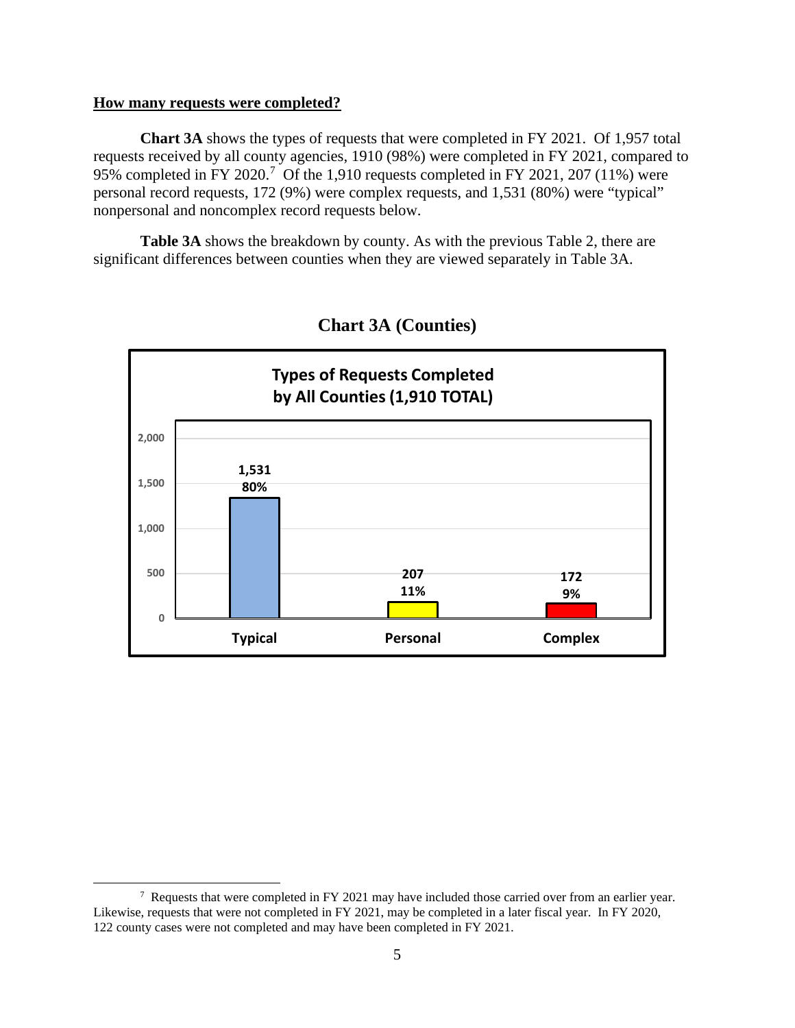#### **How many requests were completed?**

**Chart 3A** shows the types of requests that were completed in FY 2021. Of 1,957 total requests received by all county agencies, 1910 (98%) were completed in FY 2021, compared to 95% completed in FY 2020.<sup>[7](#page-4-0)</sup> Of the 1,910 requests completed in FY 2021, 207 (11%) were personal record requests, 172 (9%) were complex requests, and 1,531 (80%) were "typical" nonpersonal and noncomplex record requests below.

**Table 3A** shows the breakdown by county. As with the previous Table 2, there are significant differences between counties when they are viewed separately in Table 3A.





<span id="page-4-0"></span><sup>&</sup>lt;sup>7</sup> Requests that were completed in FY 2021 may have included those carried over from an earlier year. Likewise, requests that were not completed in FY 2021, may be completed in a later fiscal year. In FY 2020, 122 county cases were not completed and may have been completed in FY 2021.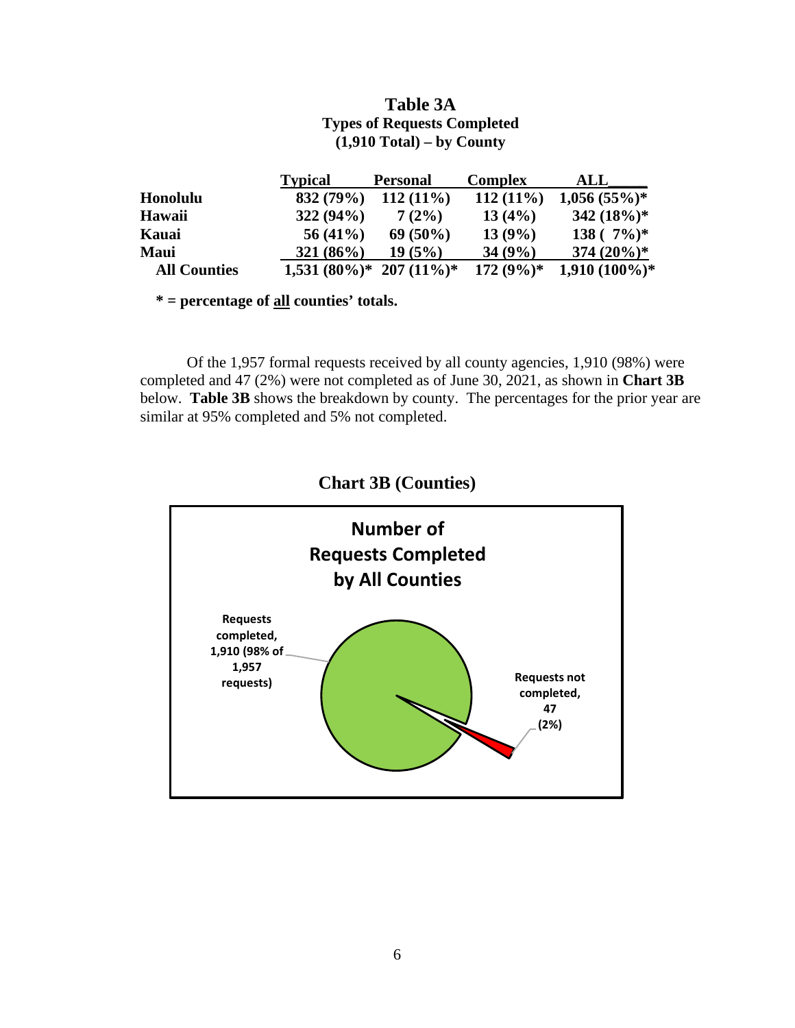## **Table 3A Types of Requests Completed (1,910 Total) – by County**

|                     | <b>Typical</b> | <b>Personal</b>                | <b>Complex</b> | ALL             |
|---------------------|----------------|--------------------------------|----------------|-----------------|
| <b>Honolulu</b>     | 832 (79%)      | $112(11\%)$                    | $112(11\%)$    | $1,056(55%)$ *  |
| Hawaii              | 322(94%)       | 7(2%)                          | 13(4%)         | 342 $(18\%)$ *  |
| Kauai               | $56(41\%)$     | $69(50\%)$                     | 13(9%)         | $138(^{7\%})^*$ |
| <b>Maui</b>         | $321(86\%)$    | 19(5%)                         | 34(9%)         | 374 $(20\%)^*$  |
| <b>All Counties</b> |                | $1,531(80\%)$ * 207 $(11\%)$ * | $172(9\%)*$    | $1,910(100\%)*$ |

 **\* = percentage of all counties' totals.** 

Of the 1,957 formal requests received by all county agencies, 1,910 (98%) were completed and 47 (2%) were not completed as of June 30, 2021, as shown in **Chart 3B** below. **Table 3B** shows the breakdown by county. The percentages for the prior year are similar at 95% completed and 5% not completed.



# **Chart 3B (Counties)**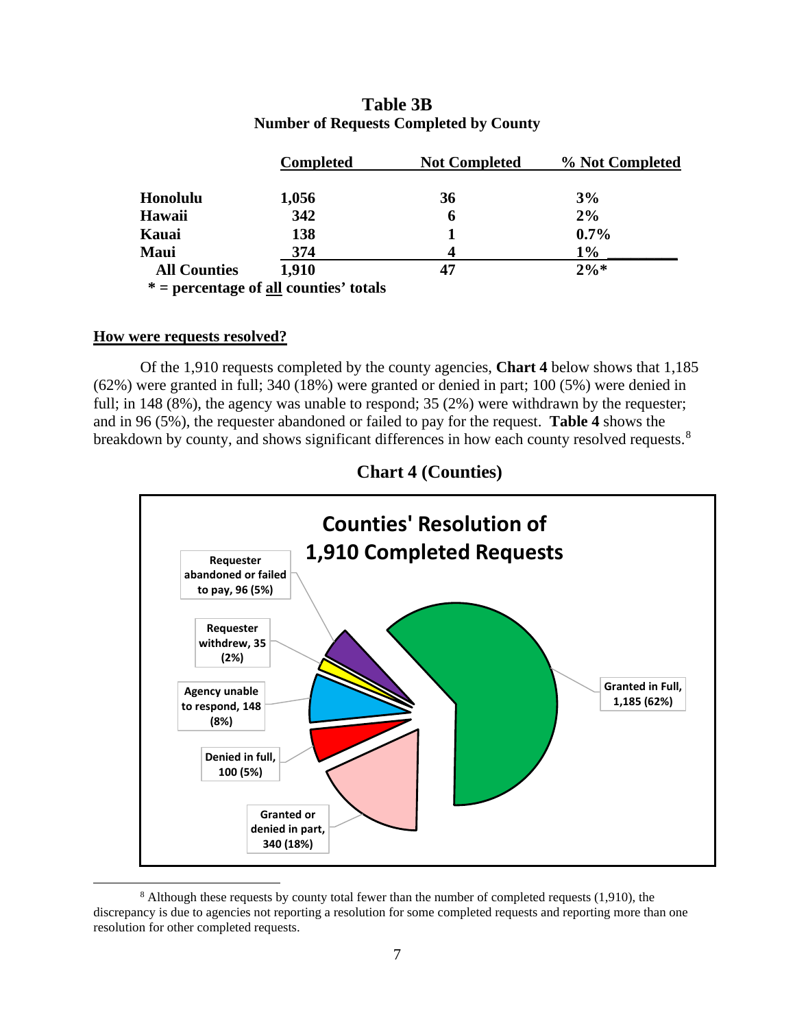|                     | <b>Completed</b>                                | <b>Not Completed</b> | % Not Completed |
|---------------------|-------------------------------------------------|----------------------|-----------------|
| Honolulu            | 1,056                                           | 36                   | 3%              |
| Hawaii              | 342                                             | 6                    | 2%              |
| Kauai               | 138                                             |                      | $0.7\%$         |
| <b>Maui</b>         | 374                                             | Δ                    | $1\%$           |
| <b>All Counties</b> | 1.910                                           | 47                   | $2\%*$          |
|                     | $* =$ percentage of <u>all</u> counties' totals |                      |                 |

## **Table 3B Number of Requests Completed by County**

## **How were requests resolved?**

Of the 1,910 requests completed by the county agencies, **Chart 4** below shows that 1,185 (62%) were granted in full; 340 (18%) were granted or denied in part; 100 (5%) were denied in full; in 148 (8%), the agency was unable to respond; 35 (2%) were withdrawn by the requester; and in 96 (5%), the requester abandoned or failed to pay for the request. **Table 4** shows the breakdown by county, and shows significant differences in how each county resolved requests.<sup>[8](#page-6-0)</sup>



**Chart 4 (Counties)**

<span id="page-6-0"></span><sup>&</sup>lt;sup>8</sup> Although these requests by county total fewer than the number of completed requests (1,910), the discrepancy is due to agencies not reporting a resolution for some completed requests and reporting more than one resolution for other completed requests.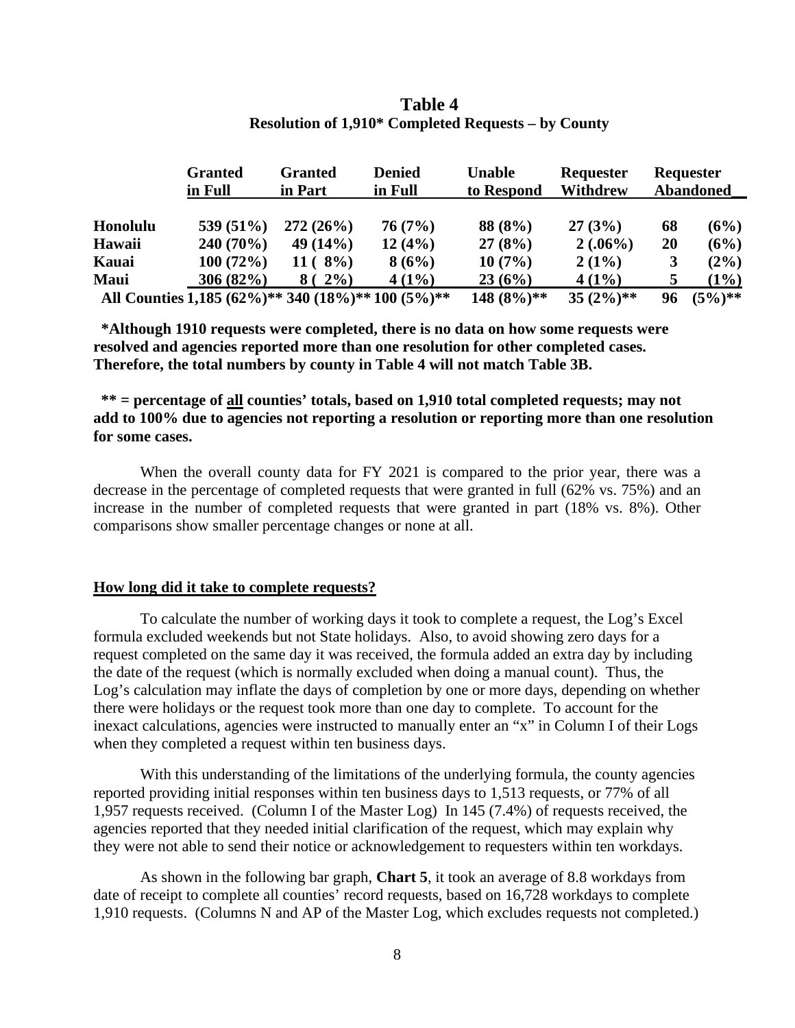|          | <b>Granted</b><br>in Full                         | <b>Granted</b><br>in Part  | <b>Denied</b><br>in Full | <b>Unable</b><br>to Respond | <b>Requester</b><br><b>Withdrew</b> |    | Requester<br><b>Abandoned</b> |
|----------|---------------------------------------------------|----------------------------|--------------------------|-----------------------------|-------------------------------------|----|-------------------------------|
|          |                                                   |                            |                          |                             |                                     |    |                               |
| Honolulu | 539 $(51\%)$                                      | 272(26%)                   | 76(7%)                   | 88 (8%)                     | 27(3%)                              | 68 | (6%)                          |
| Hawaii   | $240(70\%)$                                       | 49 $(14%)$                 | 12(4%)                   | 27(8%)                      | $2(.06\%)$                          | 20 | (6%)                          |
| Kauai    | 100(72%)                                          | $11 (8\%)$                 | 8(6%)                    | 10(7%)                      | $2(1\%)$                            | 3  | $(2\%)$                       |
| Maui     | 306(82%)                                          | $\left(2\% \right)$<br>8 ( | $4(1\%)$                 | 23(6%)                      | $4(1\%)$                            | 5  | $(1\%)$                       |
|          | All Counties 1,185 (62%)** 340 (18%)** 100 (5%)** |                            |                          | $148 (8\%)$ **              | $35(2\%)$ **                        | 96 | $(5\%)$ **                    |

## **Table 4 Resolution of 1,910\* Completed Requests – by County**

**\*Although 1910 requests were completed, there is no data on how some requests were resolved and agencies reported more than one resolution for other completed cases. Therefore, the total numbers by county in Table 4 will not match Table 3B.**

**\*\* = percentage of all counties' totals, based on 1,910 total completed requests; may not add to 100% due to agencies not reporting a resolution or reporting more than one resolution for some cases.**

When the overall county data for FY 2021 is compared to the prior year, there was a decrease in the percentage of completed requests that were granted in full (62% vs. 75%) and an increase in the number of completed requests that were granted in part (18% vs. 8%). Other comparisons show smaller percentage changes or none at all.

## **How long did it take to complete requests?**

To calculate the number of working days it took to complete a request, the Log's Excel formula excluded weekends but not State holidays. Also, to avoid showing zero days for a request completed on the same day it was received, the formula added an extra day by including the date of the request (which is normally excluded when doing a manual count). Thus, the Log's calculation may inflate the days of completion by one or more days, depending on whether there were holidays or the request took more than one day to complete. To account for the inexact calculations, agencies were instructed to manually enter an "x" in Column I of their Logs when they completed a request within ten business days.

With this understanding of the limitations of the underlying formula, the county agencies reported providing initial responses within ten business days to 1,513 requests, or 77% of all 1,957 requests received. (Column I of the Master Log) In 145 (7.4%) of requests received, the agencies reported that they needed initial clarification of the request, which may explain why they were not able to send their notice or acknowledgement to requesters within ten workdays.

As shown in the following bar graph, **Chart 5**, it took an average of 8.8 workdays from date of receipt to complete all counties' record requests, based on 16,728 workdays to complete 1,910 requests. (Columns N and AP of the Master Log, which excludes requests not completed.)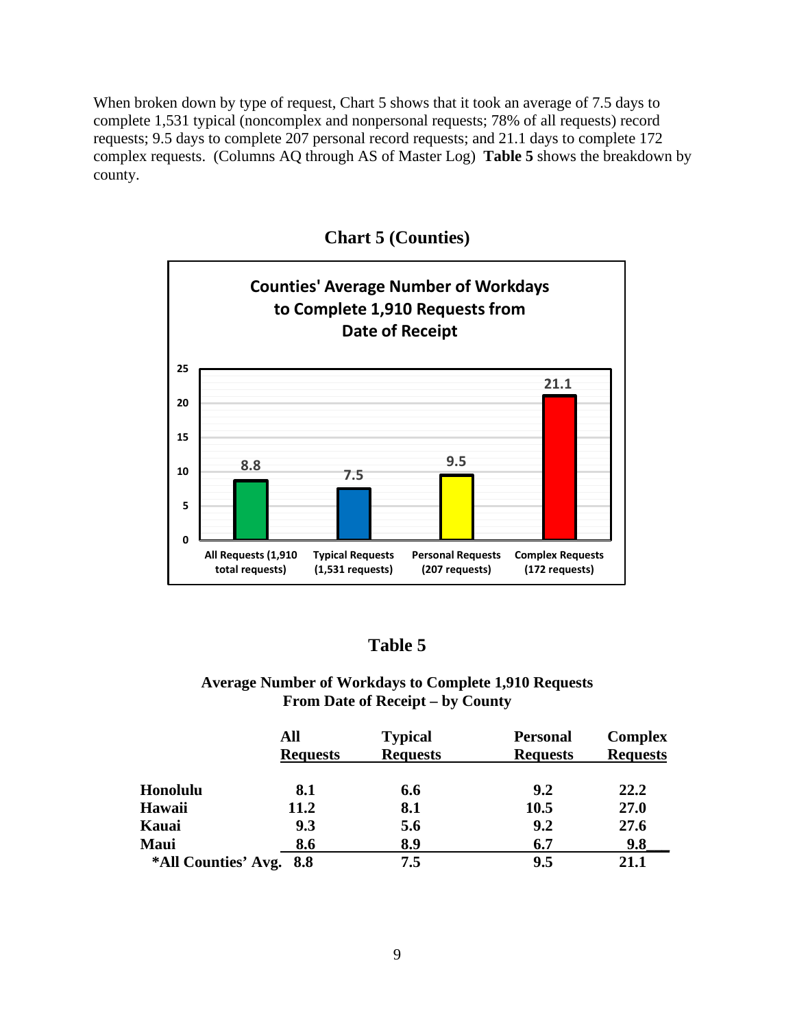When broken down by type of request, Chart 5 shows that it took an average of 7.5 days to complete 1,531 typical (noncomplex and nonpersonal requests; 78% of all requests) record requests; 9.5 days to complete 207 personal record requests; and 21.1 days to complete 172 complex requests. (Columns AQ through AS of Master Log) **Table 5** shows the breakdown by county.



**Chart 5 (Counties)**

## **Table 5**

## **Average Number of Workdays to Complete 1,910 Requests From Date of Receipt – by County**

|                         | All<br><b>Requests</b> | <b>Typical</b><br><b>Requests</b> | <b>Personal</b><br><b>Requests</b> | <b>Complex</b><br><b>Requests</b> |
|-------------------------|------------------------|-----------------------------------|------------------------------------|-----------------------------------|
| Honolulu                | 8.1                    | 6.6                               | 9.2                                | 22.2                              |
| Hawaii                  | 11.2                   | 8.1                               | 10.5                               | 27.0                              |
| Kauai                   | 9.3                    | 5.6                               | 9.2                                | 27.6                              |
| Maui                    | 8.6                    | 8.9                               | 6.7                                | 9.8                               |
| *All Counties' Avg. 8.8 |                        | 7.5                               | 9.5                                | 21.1                              |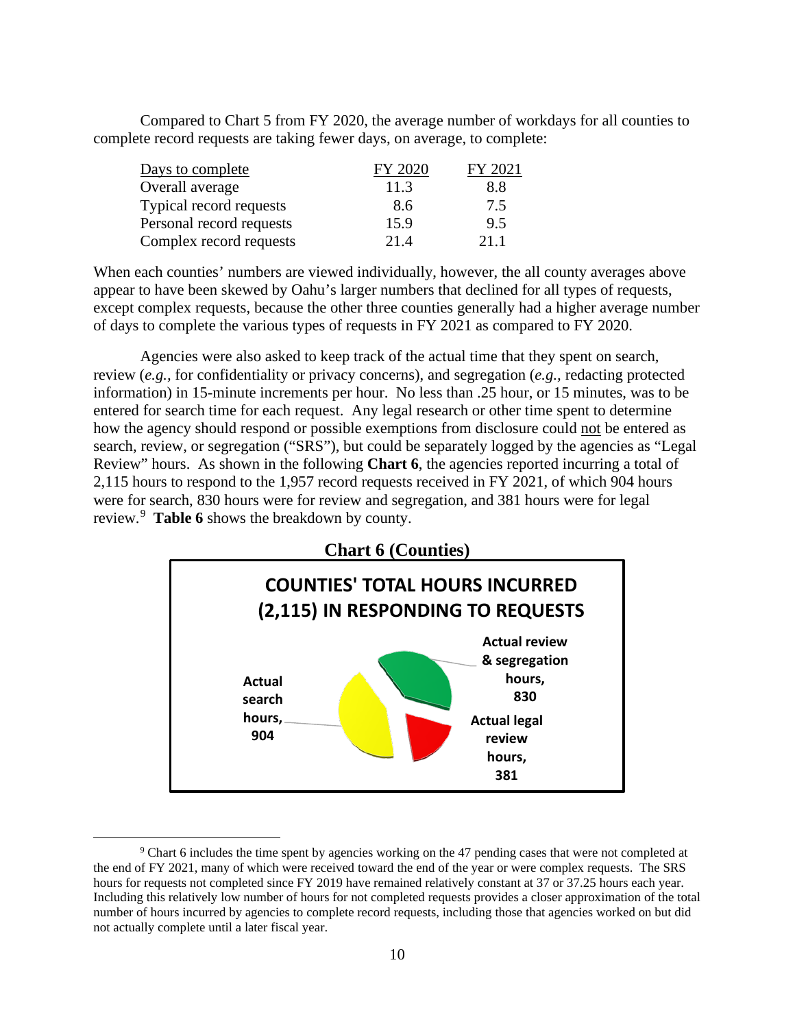Compared to Chart 5 from FY 2020, the average number of workdays for all counties to complete record requests are taking fewer days, on average, to complete:

| Days to complete         | FY 2020 | FY 2021 |
|--------------------------|---------|---------|
| Overall average          | 11.3    | 8.8     |
| Typical record requests  | 8.6     | 7.5     |
| Personal record requests | 15.9    | 9.5     |
| Complex record requests  | 21.4    | 211     |

When each counties' numbers are viewed individually, however, the all county averages above appear to have been skewed by Oahu's larger numbers that declined for all types of requests, except complex requests, because the other three counties generally had a higher average number of days to complete the various types of requests in FY 2021 as compared to FY 2020.

Agencies were also asked to keep track of the actual time that they spent on search, review (*e.g.,* for confidentiality or privacy concerns), and segregation (*e.g.,* redacting protected information) in 15-minute increments per hour. No less than .25 hour, or 15 minutes, was to be entered for search time for each request. Any legal research or other time spent to determine how the agency should respond or possible exemptions from disclosure could not be entered as search, review, or segregation ("SRS"), but could be separately logged by the agencies as "Legal Review" hours. As shown in the following **Chart 6**, the agencies reported incurring a total of 2,115 hours to respond to the 1,957 record requests received in FY 2021, of which 904 hours were for search, 830 hours were for review and segregation, and 381 hours were for legal review.[9](#page-9-0) **Table 6** shows the breakdown by county.



<span id="page-9-0"></span><sup>9</sup> Chart 6 includes the time spent by agencies working on the 47 pending cases that were not completed at the end of FY 2021, many of which were received toward the end of the year or were complex requests. The SRS hours for requests not completed since FY 2019 have remained relatively constant at 37 or 37.25 hours each year. Including this relatively low number of hours for not completed requests provides a closer approximation of the total number of hours incurred by agencies to complete record requests, including those that agencies worked on but did not actually complete until a later fiscal year.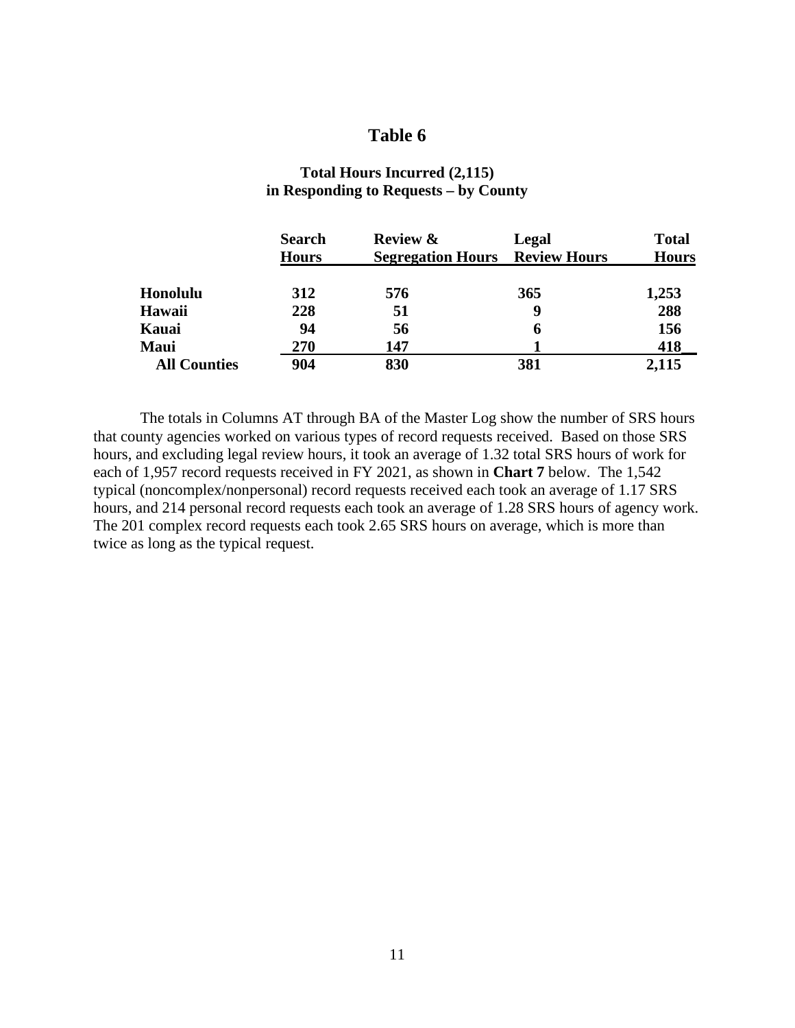## **Table 6**

|                     | <b>Search</b><br><b>Hours</b> | <b>Review &amp;</b><br><b>Segregation Hours</b> | Legal<br><b>Review Hours</b> | <b>Total</b><br><b>Hours</b> |
|---------------------|-------------------------------|-------------------------------------------------|------------------------------|------------------------------|
| Honolulu            | 312                           | 576                                             | 365                          | 1,253                        |
| Hawaii              | 228                           | 51                                              | 9                            | 288                          |
| Kauai               | 94                            | 56                                              | 6                            | 156                          |
| Maui                | 270                           | 147                                             |                              | 418                          |
| <b>All Counties</b> | 904                           | 830                                             | 381                          | 2,115                        |

## **Total Hours Incurred (2,115) in Responding to Requests – by County**

The totals in Columns AT through BA of the Master Log show the number of SRS hours that county agencies worked on various types of record requests received. Based on those SRS hours, and excluding legal review hours, it took an average of 1.32 total SRS hours of work for each of 1,957 record requests received in FY 2021, as shown in **Chart 7** below. The 1,542 typical (noncomplex/nonpersonal) record requests received each took an average of 1.17 SRS hours, and 214 personal record requests each took an average of 1.28 SRS hours of agency work. The 201 complex record requests each took 2.65 SRS hours on average, which is more than twice as long as the typical request.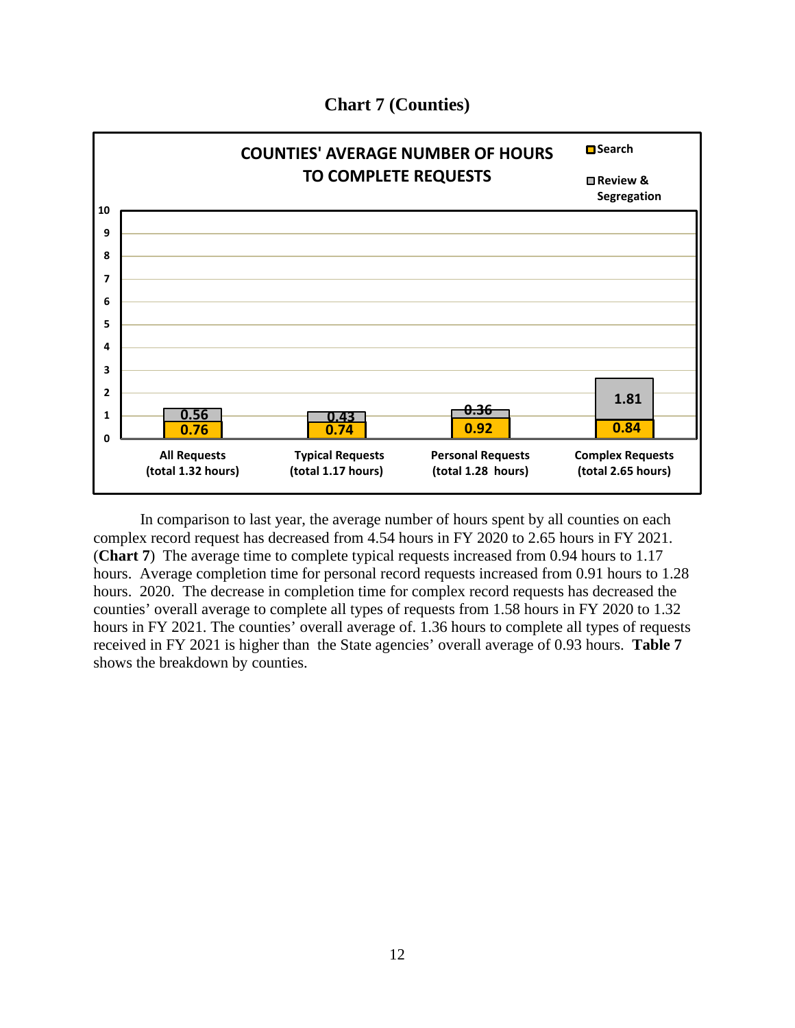

## **Chart 7 (Counties)**

In comparison to last year, the average number of hours spent by all counties on each complex record request has decreased from 4.54 hours in FY 2020 to 2.65 hours in FY 2021. (**Chart 7**) The average time to complete typical requests increased from 0.94 hours to 1.17 hours. Average completion time for personal record requests increased from 0.91 hours to 1.28 hours. 2020. The decrease in completion time for complex record requests has decreased the counties' overall average to complete all types of requests from 1.58 hours in FY 2020 to 1.32 hours in FY 2021. The counties' overall average of. 1.36 hours to complete all types of requests received in FY 2021 is higher than the State agencies' overall average of 0.93 hours. **Table 7** shows the breakdown by counties.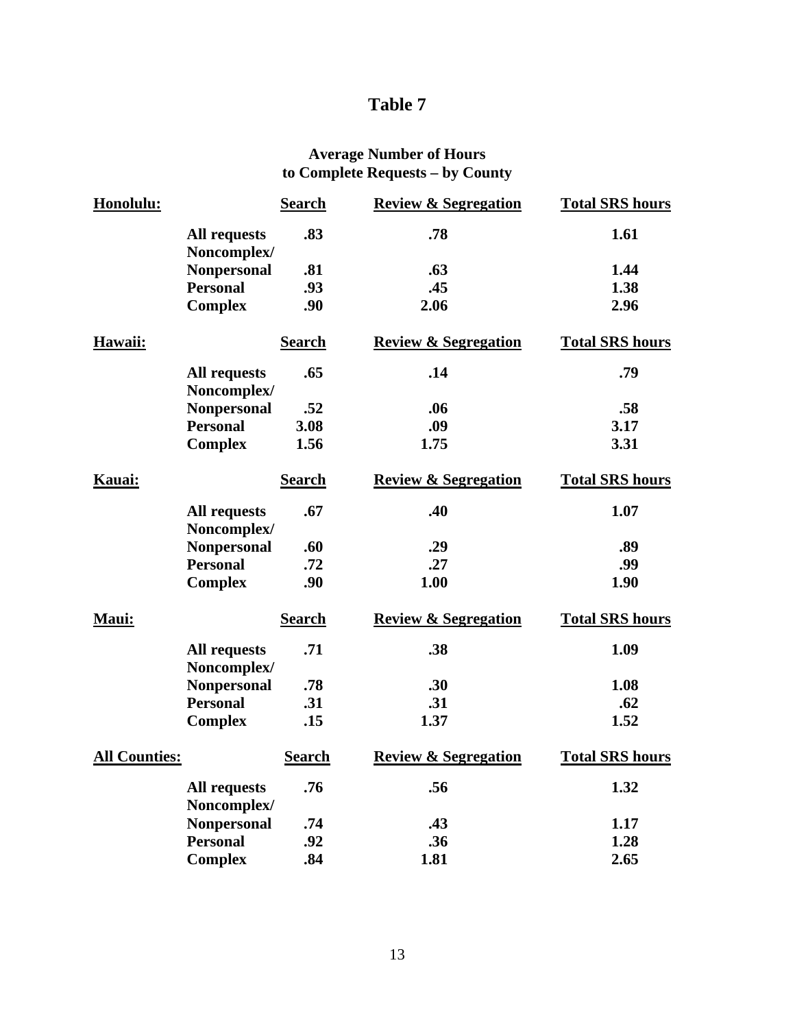# **Table 7**

## **Average Number of Hours to Complete Requests – by County**

| Honolulu:            |                                    | <b>Search</b> | <b>Review &amp; Segregation</b> | <b>Total SRS hours</b> |
|----------------------|------------------------------------|---------------|---------------------------------|------------------------|
|                      | <b>All requests</b><br>Noncomplex/ | .83           | .78                             | 1.61                   |
|                      | <b>Nonpersonal</b>                 | .81           | .63                             | 1.44                   |
|                      | <b>Personal</b>                    | .93           | .45                             | 1.38                   |
|                      | <b>Complex</b>                     | .90           | 2.06                            | 2.96                   |
| Hawaii:              |                                    | <b>Search</b> | <b>Review &amp; Segregation</b> | <b>Total SRS hours</b> |
|                      | <b>All requests</b><br>Noncomplex/ | .65           | .14                             | .79                    |
|                      | <b>Nonpersonal</b>                 | .52           | .06                             | .58                    |
|                      | <b>Personal</b>                    | 3.08          | .09                             | 3.17                   |
|                      | <b>Complex</b>                     | 1.56          | 1.75                            | 3.31                   |
| Kauai:               |                                    | <b>Search</b> | <b>Review &amp; Segregation</b> | <b>Total SRS hours</b> |
|                      | <b>All requests</b><br>Noncomplex/ | .67           | .40                             | 1.07                   |
|                      | <b>Nonpersonal</b>                 | .60           | .29                             | .89                    |
|                      | <b>Personal</b>                    | .72           | .27                             | .99                    |
|                      | <b>Complex</b>                     | .90           | 1.00                            | 1.90                   |
| Maui:                |                                    | <b>Search</b> | <b>Review &amp; Segregation</b> | <b>Total SRS hours</b> |
|                      | <b>All requests</b><br>Noncomplex/ | .71           | .38                             | 1.09                   |
|                      | <b>Nonpersonal</b>                 | .78           | .30                             | 1.08                   |
|                      | <b>Personal</b>                    | .31           | .31                             | .62                    |
|                      | <b>Complex</b>                     | .15           | 1.37                            | 1.52                   |
| <b>All Counties:</b> |                                    | <b>Search</b> | <b>Review &amp; Segregation</b> | <b>Total SRS hours</b> |
|                      | <b>All requests</b><br>Noncomplex/ | .76           | .56                             | 1.32                   |
|                      | <b>Nonpersonal</b>                 | .74           | .43                             | 1.17                   |
|                      | <b>Personal</b>                    | .92           | .36                             | 1.28                   |
|                      | <b>Complex</b>                     | .84           | 1.81                            | 2.65                   |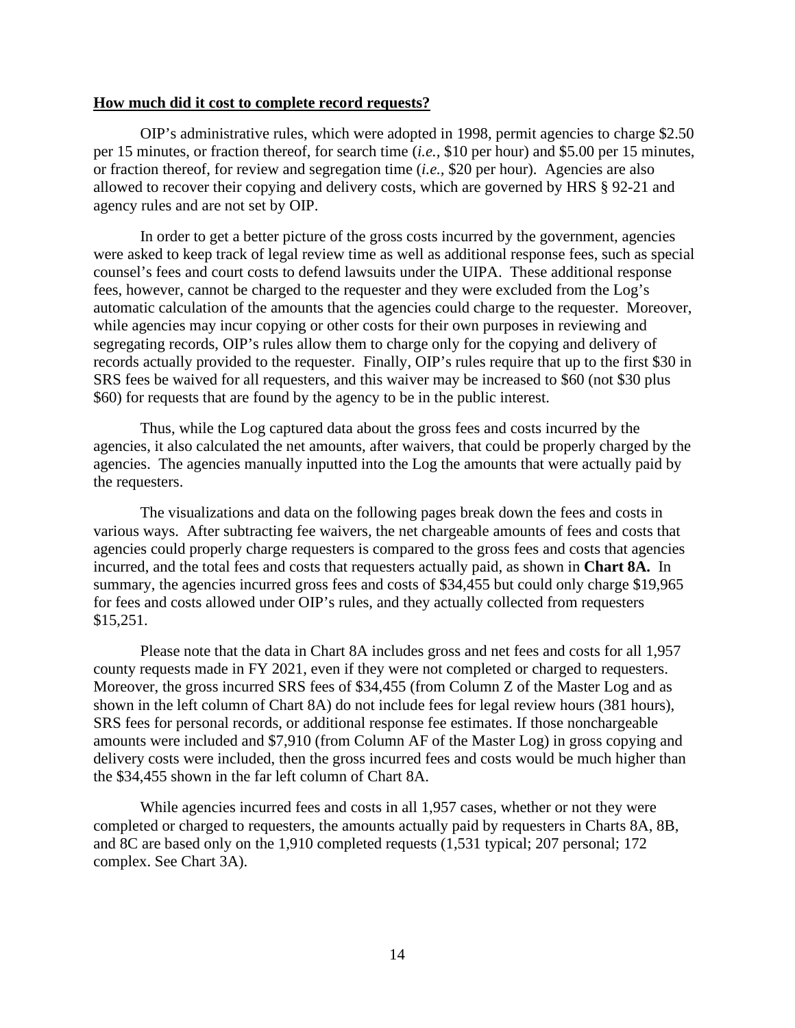#### **How much did it cost to complete record requests?**

OIP's administrative rules, which were adopted in 1998, permit agencies to charge \$2.50 per 15 minutes, or fraction thereof, for search time (*i.e.,* \$10 per hour) and \$5.00 per 15 minutes, or fraction thereof, for review and segregation time (*i.e.,* \$20 per hour). Agencies are also allowed to recover their copying and delivery costs, which are governed by HRS § 92-21 and agency rules and are not set by OIP.

In order to get a better picture of the gross costs incurred by the government, agencies were asked to keep track of legal review time as well as additional response fees, such as special counsel's fees and court costs to defend lawsuits under the UIPA. These additional response fees, however, cannot be charged to the requester and they were excluded from the Log's automatic calculation of the amounts that the agencies could charge to the requester. Moreover, while agencies may incur copying or other costs for their own purposes in reviewing and segregating records, OIP's rules allow them to charge only for the copying and delivery of records actually provided to the requester. Finally, OIP's rules require that up to the first \$30 in SRS fees be waived for all requesters, and this waiver may be increased to \$60 (not \$30 plus \$60) for requests that are found by the agency to be in the public interest.

Thus, while the Log captured data about the gross fees and costs incurred by the agencies, it also calculated the net amounts, after waivers, that could be properly charged by the agencies. The agencies manually inputted into the Log the amounts that were actually paid by the requesters.

The visualizations and data on the following pages break down the fees and costs in various ways. After subtracting fee waivers, the net chargeable amounts of fees and costs that agencies could properly charge requesters is compared to the gross fees and costs that agencies incurred, and the total fees and costs that requesters actually paid, as shown in **Chart 8A.** In summary, the agencies incurred gross fees and costs of \$34,455 but could only charge \$19,965 for fees and costs allowed under OIP's rules, and they actually collected from requesters \$15,251.

Please note that the data in Chart 8A includes gross and net fees and costs for all 1,957 county requests made in FY 2021, even if they were not completed or charged to requesters. Moreover, the gross incurred SRS fees of \$34,455 (from Column Z of the Master Log and as shown in the left column of Chart 8A) do not include fees for legal review hours (381 hours), SRS fees for personal records, or additional response fee estimates. If those nonchargeable amounts were included and \$7,910 (from Column AF of the Master Log) in gross copying and delivery costs were included, then the gross incurred fees and costs would be much higher than the \$34,455 shown in the far left column of Chart 8A.

While agencies incurred fees and costs in all 1,957 cases, whether or not they were completed or charged to requesters, the amounts actually paid by requesters in Charts 8A, 8B, and 8C are based only on the 1,910 completed requests (1,531 typical; 207 personal; 172 complex. See Chart 3A).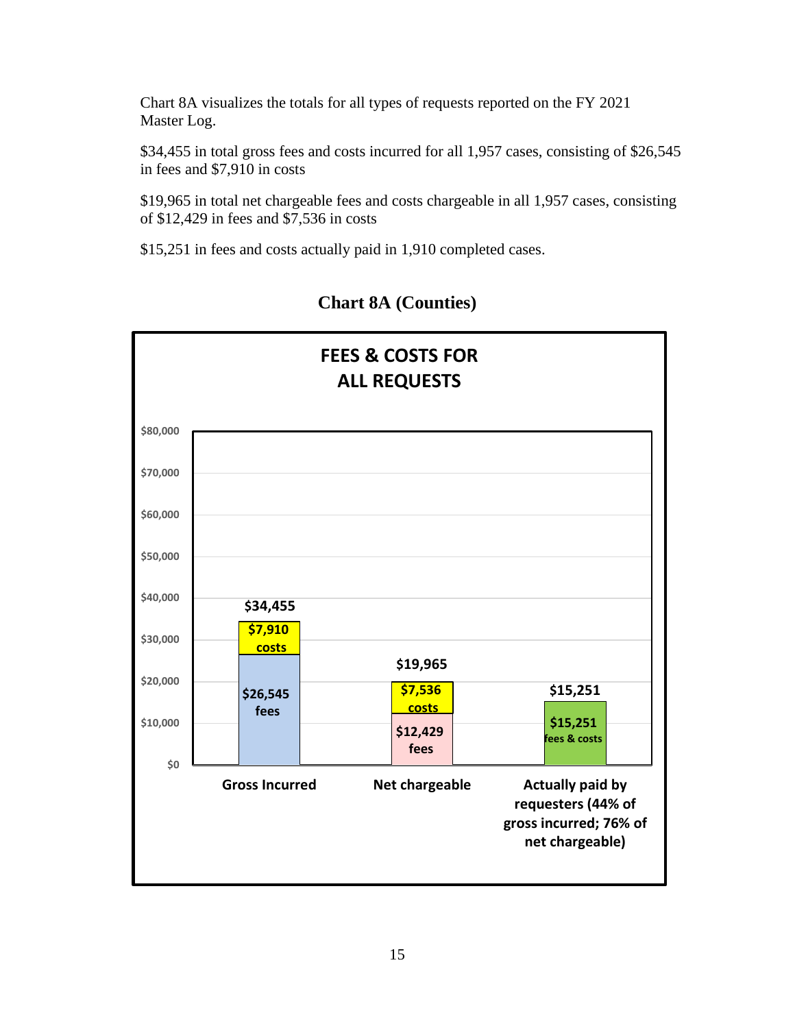Chart 8A visualizes the totals for all types of requests reported on the FY 2021 Master Log.

\$34,455 in total gross fees and costs incurred for all 1,957 cases, consisting of \$26,545 in fees and \$7,910 in costs

\$19,965 in total net chargeable fees and costs chargeable in all 1,957 cases, consisting of \$12,429 in fees and \$7,536 in costs

\$15,251 in fees and costs actually paid in 1,910 completed cases.



# **Chart 8A (Counties)**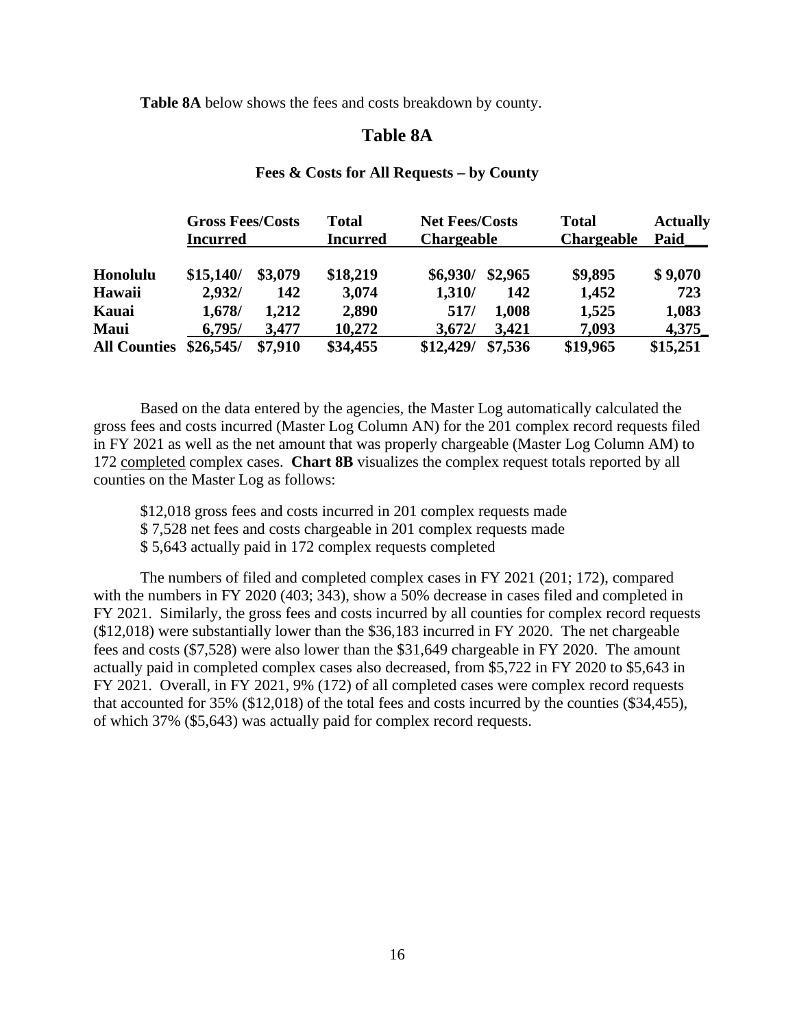**Table 8A** below shows the fees and costs breakdown by county.

## **Table 8A**

## **Fees & Costs for All Requests – by County**

|                     | <b>Gross Fees/Costs</b> |         | <b>Total</b>    | <b>Net Fees/Costs</b> |         | <b>Total</b>      | <b>Actually</b> |
|---------------------|-------------------------|---------|-----------------|-----------------------|---------|-------------------|-----------------|
|                     | <b>Incurred</b>         |         | <b>Incurred</b> | <b>Chargeable</b>     |         | <b>Chargeable</b> | Paid            |
| Honolulu            | \$15,140/               | \$3,079 | \$18,219        | \$6,930/              | \$2,965 | \$9,895           | \$9,070         |
| Hawaii              | 2,932/                  | 142     | 3,074           | 1,310/                | 142     | 1,452             | 723             |
| Kauai               | 1,678/                  | 1,212   | 2,890           | 517/                  | 1,008   | 1,525             | 1,083           |
| <b>Maui</b>         | 6,795/                  | 3,477   | 10,272          | 3,672/                | 3,421   | 7,093             | 4,375           |
| <b>All Counties</b> | \$26,545/               | \$7,910 | \$34,455        | \$12,429/             | \$7,536 | \$19,965          | \$15,251        |

Based on the data entered by the agencies, the Master Log automatically calculated the gross fees and costs incurred (Master Log Column AN) for the 201 complex record requests filed in FY 2021 as well as the net amount that was properly chargeable (Master Log Column AM) to 172 completed complex cases. **Chart 8B** visualizes the complex request totals reported by all counties on the Master Log as follows:

\$12,018 gross fees and costs incurred in 201 complex requests made

\$ 7,528 net fees and costs chargeable in 201 complex requests made

\$ 5,643 actually paid in 172 complex requests completed

The numbers of filed and completed complex cases in FY 2021 (201; 172), compared with the numbers in FY 2020 (403; 343), show a 50% decrease in cases filed and completed in FY 2021. Similarly, the gross fees and costs incurred by all counties for complex record requests (\$12,018) were substantially lower than the \$36,183 incurred in FY 2020. The net chargeable fees and costs (\$7,528) were also lower than the \$31,649 chargeable in FY 2020. The amount actually paid in completed complex cases also decreased, from \$5,722 in FY 2020 to \$5,643 in FY 2021. Overall, in FY 2021, 9% (172) of all completed cases were complex record requests that accounted for 35% (\$12,018) of the total fees and costs incurred by the counties (\$34,455), of which 37% (\$5,643) was actually paid for complex record requests.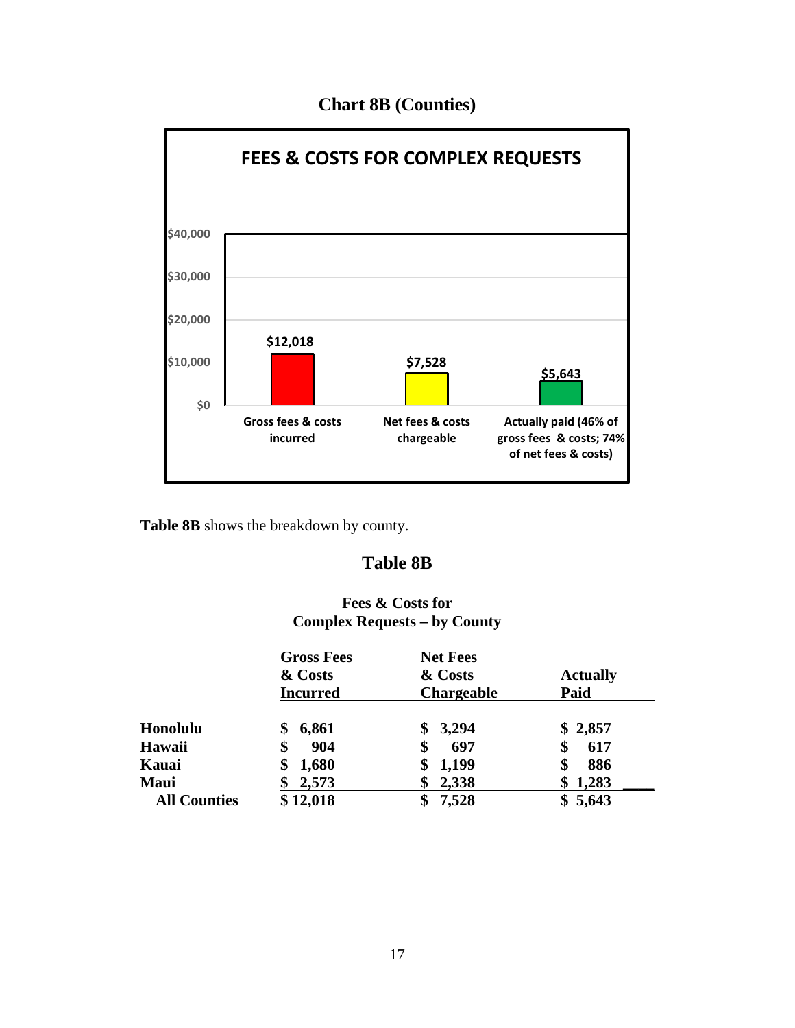

# **Chart 8B (Counties)**

**Table 8B** shows the breakdown by county.

# **Table 8B**

## **Fees & Costs for Complex Requests – by County**

|                     | <b>Gross Fees</b><br>& Costs<br><b>Incurred</b> | <b>Net Fees</b><br>& Costs<br><b>Chargeable</b> | <b>Actually</b><br>Paid |
|---------------------|-------------------------------------------------|-------------------------------------------------|-------------------------|
| Honolulu            | 6,861<br>\$                                     | \$3,294                                         | \$2,857                 |
| <b>Hawaii</b>       | 904<br>\$                                       | 697<br>\$                                       | 617<br>\$               |
| Kauai               | 1,680                                           | 1,199                                           | 886<br>\$               |
| <b>Maui</b>         | 2,573                                           | 2,338                                           | 1,283                   |
| <b>All Counties</b> | \$12,018                                        | 7,528                                           | \$5,643                 |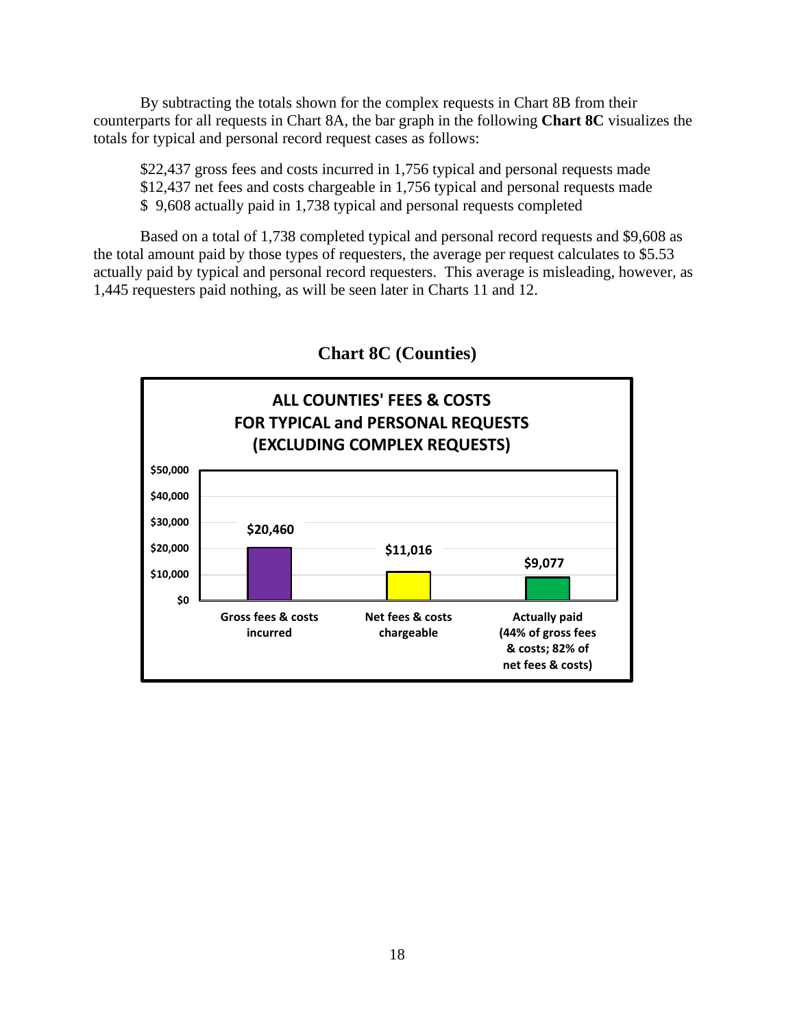By subtracting the totals shown for the complex requests in Chart 8B from their counterparts for all requests in Chart 8A, the bar graph in the following **Chart 8C** visualizes the totals for typical and personal record request cases as follows:

\$22,437 gross fees and costs incurred in 1,756 typical and personal requests made \$12,437 net fees and costs chargeable in 1,756 typical and personal requests made \$ 9,608 actually paid in 1,738 typical and personal requests completed

Based on a total of 1,738 completed typical and personal record requests and \$9,608 as the total amount paid by those types of requesters, the average per request calculates to \$5.53 actually paid by typical and personal record requesters. This average is misleading, however, as 1,445 requesters paid nothing, as will be seen later in Charts 11 and 12.



**Chart 8C (Counties)**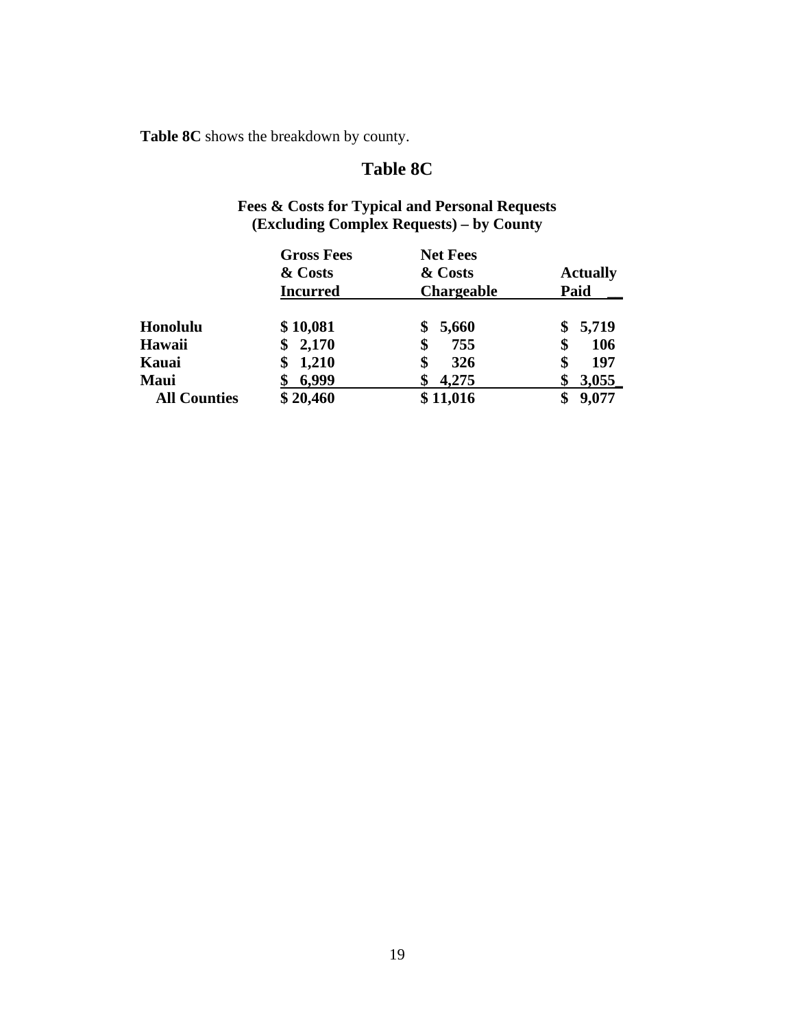**Table 8C** shows the breakdown by county.

# **Table 8C**

# **Fees & Costs for Typical and Personal Requests (Excluding Complex Requests) – by County**

|                     | <b>Gross Fees</b> | <b>Net Fees</b>   |                 |
|---------------------|-------------------|-------------------|-----------------|
|                     | & Costs           | & Costs           | <b>Actually</b> |
|                     | <b>Incurred</b>   | <b>Chargeable</b> | Paid            |
| Honolulu            | \$10,081          | 5,660<br>\$       | 5,719<br>\$     |
| Hawaii              | 2,170<br>\$       | \$<br>755         | 106<br>\$       |
| Kauai               | 1,210<br>\$       | \$<br>326         | 197             |
| Maui                | 6,999             | 4,275             | 3,055           |
| <b>All Counties</b> | \$20,460          | \$11,016          | 9,077           |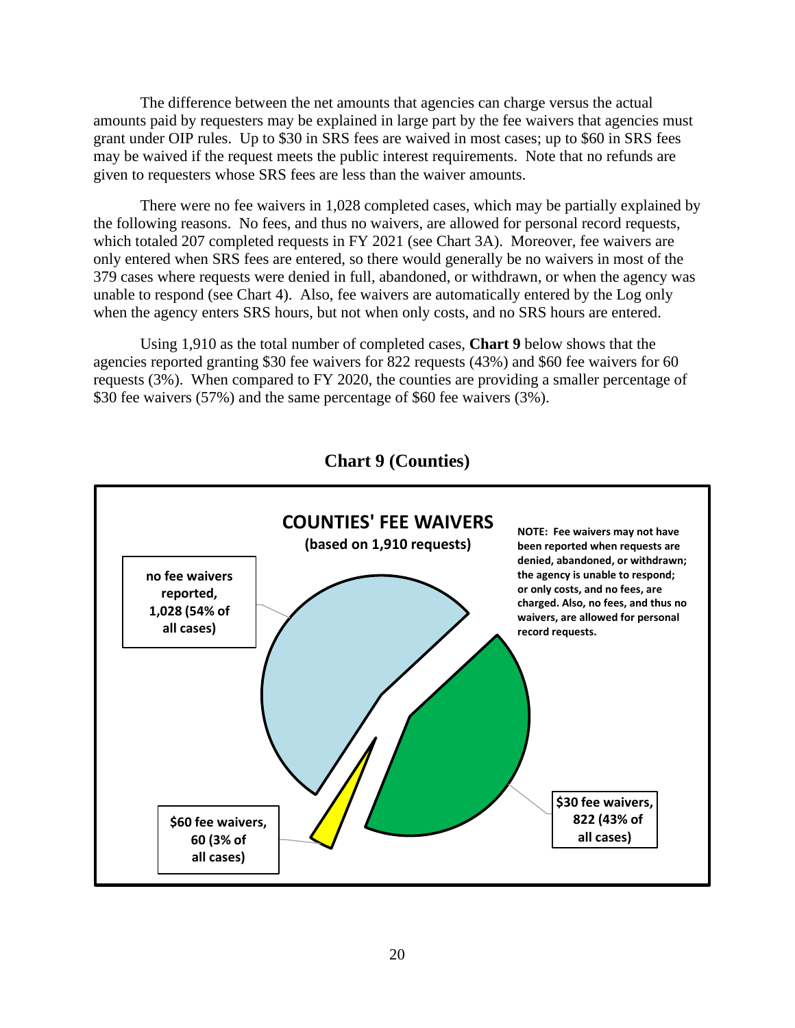The difference between the net amounts that agencies can charge versus the actual amounts paid by requesters may be explained in large part by the fee waivers that agencies must grant under OIP rules. Up to \$30 in SRS fees are waived in most cases; up to \$60 in SRS fees may be waived if the request meets the public interest requirements. Note that no refunds are given to requesters whose SRS fees are less than the waiver amounts.

There were no fee waivers in 1,028 completed cases, which may be partially explained by the following reasons. No fees, and thus no waivers, are allowed for personal record requests, which totaled 207 completed requests in FY 2021 (see Chart 3A). Moreover, fee waivers are only entered when SRS fees are entered, so there would generally be no waivers in most of the 379 cases where requests were denied in full, abandoned, or withdrawn, or when the agency was unable to respond (see Chart 4). Also, fee waivers are automatically entered by the Log only when the agency enters SRS hours, but not when only costs, and no SRS hours are entered.

Using 1,910 as the total number of completed cases, **Chart 9** below shows that the agencies reported granting \$30 fee waivers for 822 requests (43%) and \$60 fee waivers for 60 requests (3%). When compared to FY 2020, the counties are providing a smaller percentage of \$30 fee waivers (57%) and the same percentage of \$60 fee waivers (3%).



**Chart 9 (Counties)**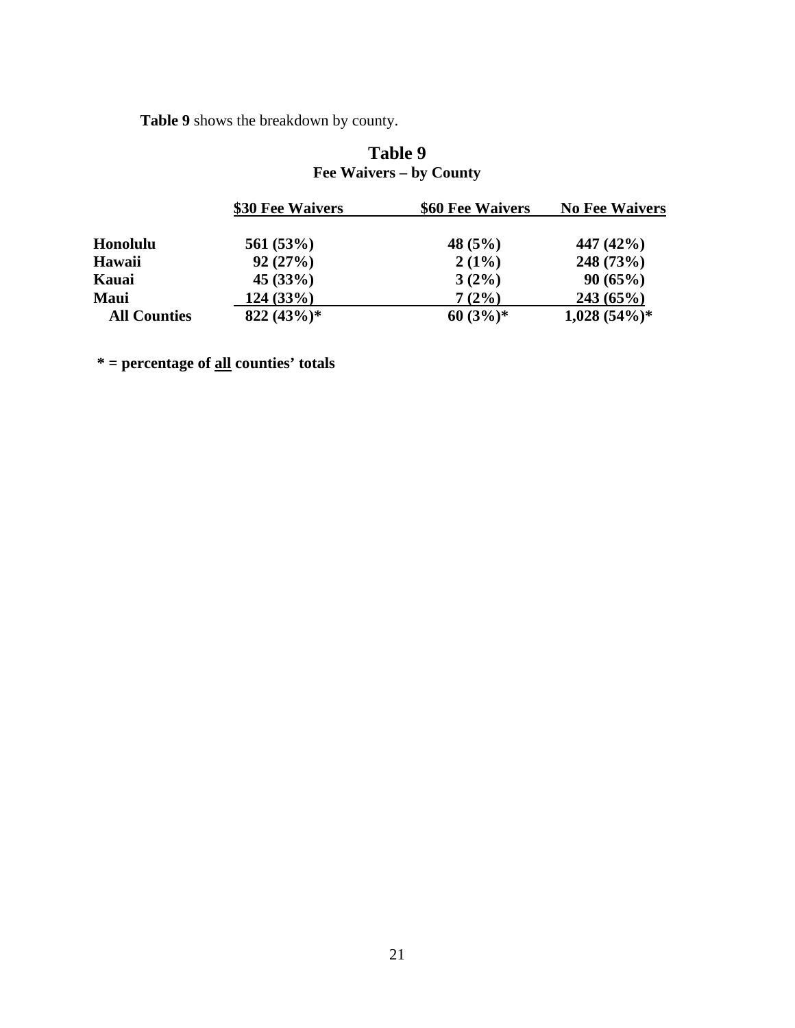**Table 9** shows the breakdown by county.

# **Table 9 Fee Waivers – by County**

|                     | \$30 Fee Waivers | \$60 Fee Waivers | <b>No Fee Waivers</b> |
|---------------------|------------------|------------------|-----------------------|
| <b>Honolulu</b>     | 561(53%)         | 48 $(5%)$        | 447 $(42\%)$          |
| Hawaii              | 92(27%)          | $2(1\%)$         | 248(73%)              |
| Kauai               | 45(33%)          | $3(2\%)$         | 90(65%)               |
| <b>Maui</b>         | 124(33%)         | 7(2%)            | 243(65%)              |
| <b>All Counties</b> | $822 (43\%)*$    | $60(3%)$ *       | $1,028(54\%)*$        |

**\* = percentage of all counties' totals**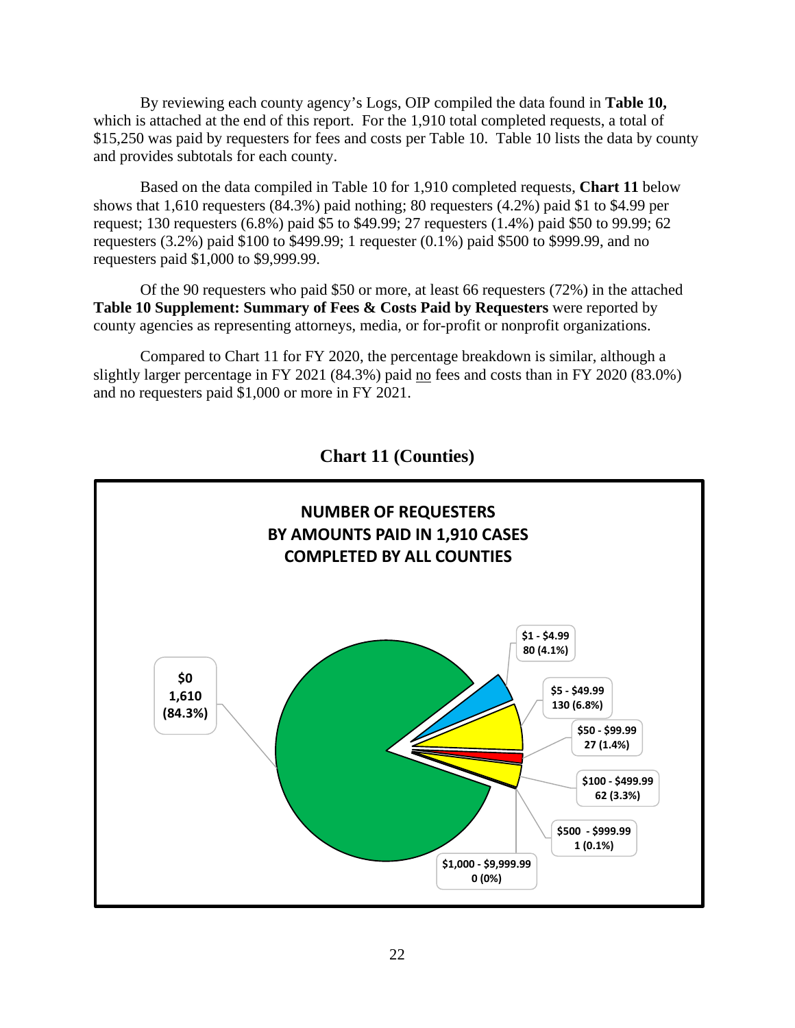By reviewing each county agency's Logs, OIP compiled the data found in **Table 10,**  which is attached at the end of this report. For the 1,910 total completed requests, a total of \$15,250 was paid by requesters for fees and costs per Table 10. Table 10 lists the data by county and provides subtotals for each county.

Based on the data compiled in Table 10 for 1,910 completed requests, **Chart 11** below shows that 1,610 requesters (84.3%) paid nothing; 80 requesters (4.2%) paid \$1 to \$4.99 per request; 130 requesters (6.8%) paid \$5 to \$49.99; 27 requesters (1.4%) paid \$50 to 99.99; 62 requesters (3.2%) paid \$100 to \$499.99; 1 requester (0.1%) paid \$500 to \$999.99, and no requesters paid \$1,000 to \$9,999.99.

Of the 90 requesters who paid \$50 or more, at least 66 requesters (72%) in the attached **Table 10 Supplement: Summary of Fees & Costs Paid by Requesters** were reported by county agencies as representing attorneys, media, or for-profit or nonprofit organizations.

Compared to Chart 11 for FY 2020, the percentage breakdown is similar, although a slightly larger percentage in FY 2021 (84.3%) paid no fees and costs than in FY 2020 (83.0%) and no requesters paid \$1,000 or more in FY 2021.



**Chart 11 (Counties)**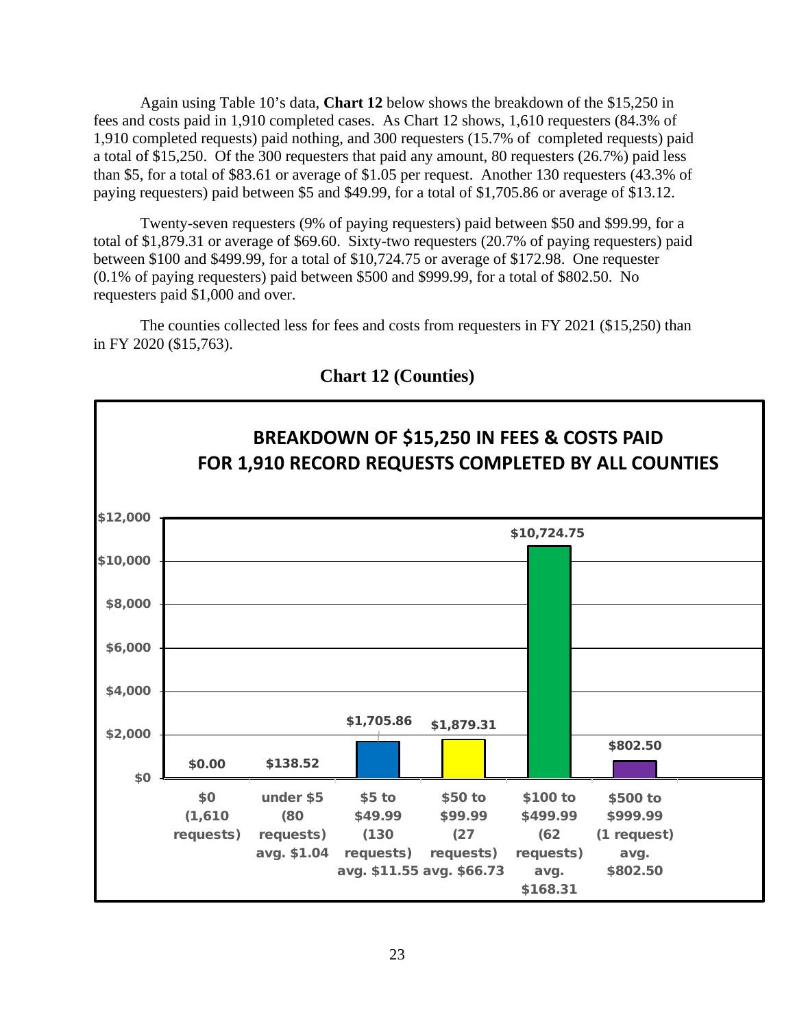Again using Table 10's data, **Chart 12** below shows the breakdown of the \$15,250 in fees and costs paid in 1,910 completed cases. As Chart 12 shows, 1,610 requesters (84.3% of 1,910 completed requests) paid nothing, and 300 requesters (15.7% of completed requests) paid a total of \$15,250. Of the 300 requesters that paid any amount, 80 requesters (26.7%) paid less than \$5, for a total of \$83.61 or average of \$1.05 per request. Another 130 requesters (43.3% of paying requesters) paid between \$5 and \$49.99, for a total of \$1,705.86 or average of \$13.12.

Twenty-seven requesters (9% of paying requesters) paid between \$50 and \$99.99, for a total of \$1,879.31 or average of \$69.60. Sixty-two requesters (20.7% of paying requesters) paid between \$100 and \$499.99, for a total of \$10,724.75 or average of \$172.98. One requester (0.1% of paying requesters) paid between \$500 and \$999.99, for a total of \$802.50. No requesters paid \$1,000 and over.

The counties collected less for fees and costs from requesters in FY 2021 (\$15,250) than in FY 2020 (\$15,763).



**Chart 12 (Counties)**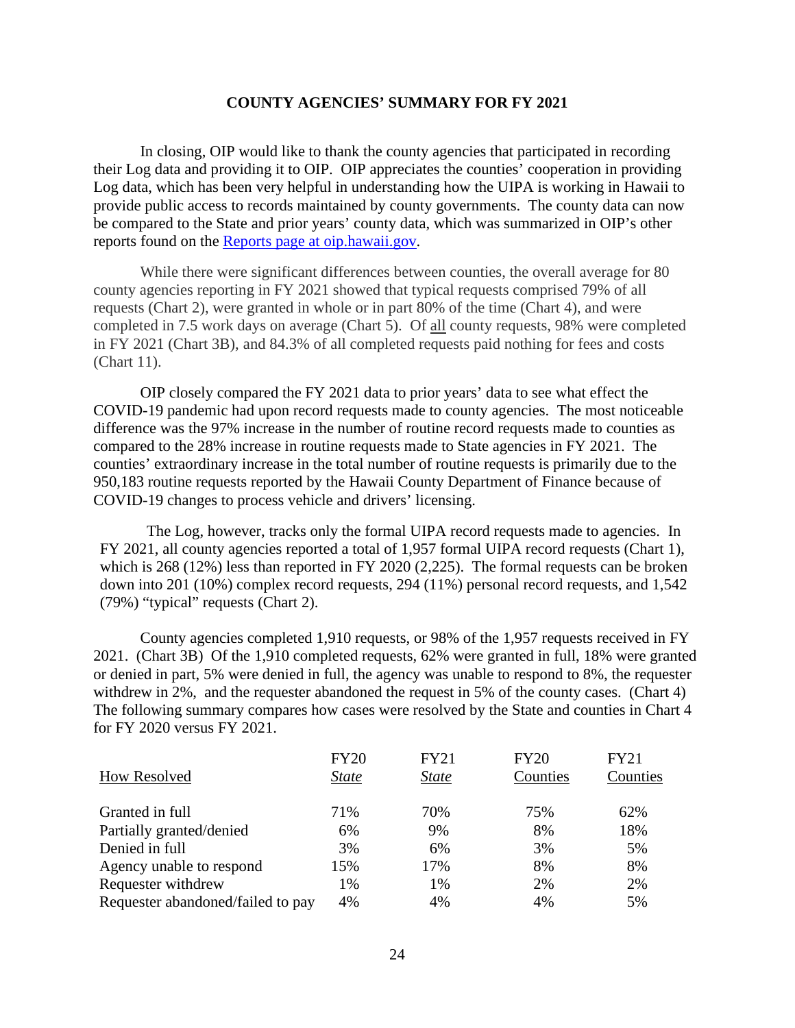## **COUNTY AGENCIES' SUMMARY FOR FY 2021**

In closing, OIP would like to thank the county agencies that participated in recording their Log data and providing it to OIP. OIP appreciates the counties' cooperation in providing Log data, which has been very helpful in understanding how the UIPA is working in Hawaii to provide public access to records maintained by county governments. The county data can now be compared to the State and prior years' county data, which was summarized in OIP's other reports found on the [Reports page at oip.hawaii.gov.](https://oip.hawaii.gov/uipa-record-request-log-reports/)

While there were significant differences between counties, the overall average for 80 county agencies reporting in FY 2021 showed that typical requests comprised 79% of all requests (Chart 2), were granted in whole or in part 80% of the time (Chart 4), and were completed in 7.5 work days on average (Chart 5). Of all county requests, 98% were completed in FY 2021 (Chart 3B), and 84.3% of all completed requests paid nothing for fees and costs (Chart 11).

OIP closely compared the FY 2021 data to prior years' data to see what effect the COVID-19 pandemic had upon record requests made to county agencies. The most noticeable difference was the 97% increase in the number of routine record requests made to counties as compared to the 28% increase in routine requests made to State agencies in FY 2021. The counties' extraordinary increase in the total number of routine requests is primarily due to the 950,183 routine requests reported by the Hawaii County Department of Finance because of COVID-19 changes to process vehicle and drivers' licensing.

The Log, however, tracks only the formal UIPA record requests made to agencies. In FY 2021, all county agencies reported a total of 1,957 formal UIPA record requests (Chart 1), which is 268 (12%) less than reported in FY 2020 (2,225). The formal requests can be broken down into 201 (10%) complex record requests, 294 (11%) personal record requests, and 1,542 (79%) "typical" requests (Chart 2).

County agencies completed 1,910 requests, or 98% of the 1,957 requests received in FY 2021. (Chart 3B) Of the 1,910 completed requests, 62% were granted in full, 18% were granted or denied in part, 5% were denied in full, the agency was unable to respond to 8%, the requester withdrew in 2%, and the requester abandoned the request in 5% of the county cases. (Chart 4) The following summary compares how cases were resolved by the State and counties in Chart 4 for FY 2020 versus FY 2021.

|                                   | <b>FY20</b>  | <b>FY21</b>  | FY20     | <b>FY21</b> |
|-----------------------------------|--------------|--------------|----------|-------------|
| How Resolved                      | <i>State</i> | <i>State</i> | Counties | Counties    |
| Granted in full                   | 71%          | 70%          | 75%      | 62%         |
| Partially granted/denied          | 6%           | 9%           | 8%       | 18%         |
| Denied in full                    | 3%           | 6%           | 3%       | 5%          |
| Agency unable to respond          | 15%          | 17%          | 8%       | 8%          |
| Requester withdrew                | 1%           | 1%           | 2%       | 2%          |
| Requester abandoned/failed to pay | 4%           | 4%           | 4%       | 5%          |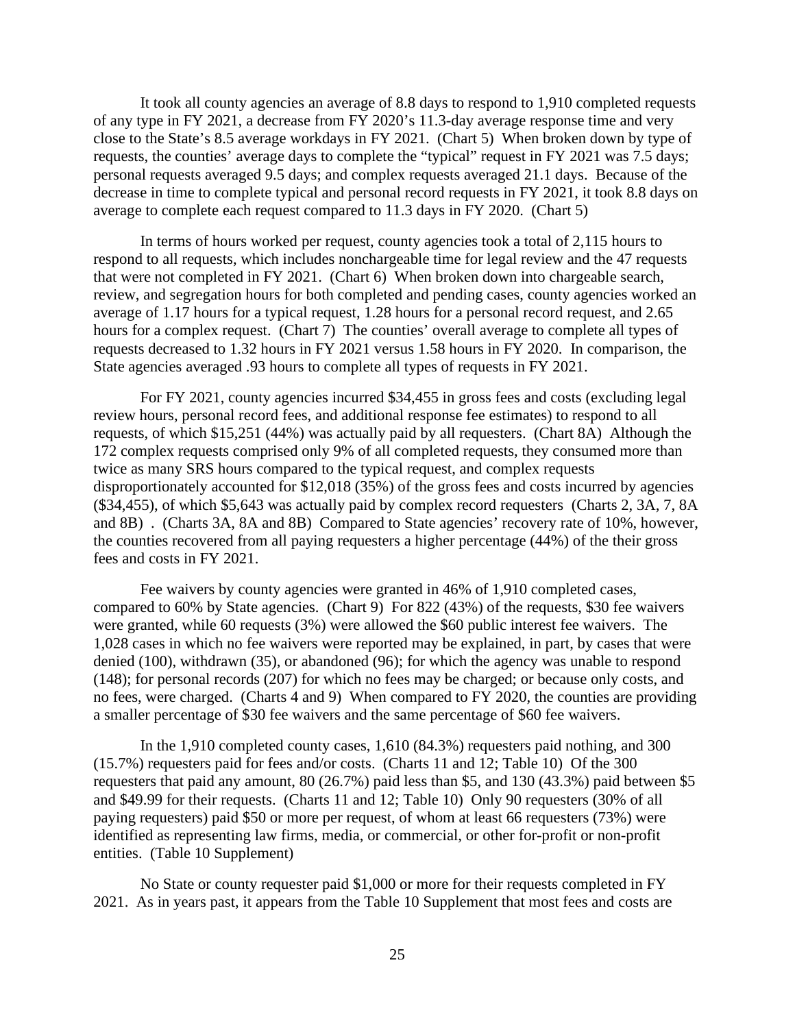It took all county agencies an average of 8.8 days to respond to 1,910 completed requests of any type in FY 2021, a decrease from FY 2020's 11.3-day average response time and very close to the State's 8.5 average workdays in FY 2021. (Chart 5) When broken down by type of requests, the counties' average days to complete the "typical" request in FY 2021 was 7.5 days; personal requests averaged 9.5 days; and complex requests averaged 21.1 days. Because of the decrease in time to complete typical and personal record requests in FY 2021, it took 8.8 days on average to complete each request compared to 11.3 days in FY 2020. (Chart 5)

In terms of hours worked per request, county agencies took a total of 2,115 hours to respond to all requests, which includes nonchargeable time for legal review and the 47 requests that were not completed in FY 2021. (Chart 6) When broken down into chargeable search, review, and segregation hours for both completed and pending cases, county agencies worked an average of 1.17 hours for a typical request, 1.28 hours for a personal record request, and 2.65 hours for a complex request. (Chart 7) The counties' overall average to complete all types of requests decreased to 1.32 hours in FY 2021 versus 1.58 hours in FY 2020. In comparison, the State agencies averaged .93 hours to complete all types of requests in FY 2021.

For FY 2021, county agencies incurred \$34,455 in gross fees and costs (excluding legal review hours, personal record fees, and additional response fee estimates) to respond to all requests, of which \$15,251 (44%) was actually paid by all requesters. (Chart 8A) Although the 172 complex requests comprised only 9% of all completed requests, they consumed more than twice as many SRS hours compared to the typical request, and complex requests disproportionately accounted for \$12,018 (35%) of the gross fees and costs incurred by agencies (\$34,455), of which \$5,643 was actually paid by complex record requesters (Charts 2, 3A, 7, 8A and 8B) . (Charts 3A, 8A and 8B) Compared to State agencies' recovery rate of 10%, however, the counties recovered from all paying requesters a higher percentage (44%) of the their gross fees and costs in FY 2021.

Fee waivers by county agencies were granted in 46% of 1,910 completed cases, compared to 60% by State agencies. (Chart 9) For 822 (43%) of the requests, \$30 fee waivers were granted, while 60 requests (3%) were allowed the \$60 public interest fee waivers. The 1,028 cases in which no fee waivers were reported may be explained, in part, by cases that were denied (100), withdrawn (35), or abandoned (96); for which the agency was unable to respond (148); for personal records (207) for which no fees may be charged; or because only costs, and no fees, were charged. (Charts 4 and 9) When compared to FY 2020, the counties are providing a smaller percentage of \$30 fee waivers and the same percentage of \$60 fee waivers.

In the 1,910 completed county cases, 1,610 (84.3%) requesters paid nothing, and 300 (15.7%) requesters paid for fees and/or costs. (Charts 11 and 12; Table 10) Of the 300 requesters that paid any amount, 80 (26.7%) paid less than \$5, and 130 (43.3%) paid between \$5 and \$49.99 for their requests. (Charts 11 and 12; Table 10) Only 90 requesters (30% of all paying requesters) paid \$50 or more per request, of whom at least 66 requesters (73%) were identified as representing law firms, media, or commercial, or other for-profit or non-profit entities. (Table 10 Supplement)

No State or county requester paid \$1,000 or more for their requests completed in FY 2021. As in years past, it appears from the Table 10 Supplement that most fees and costs are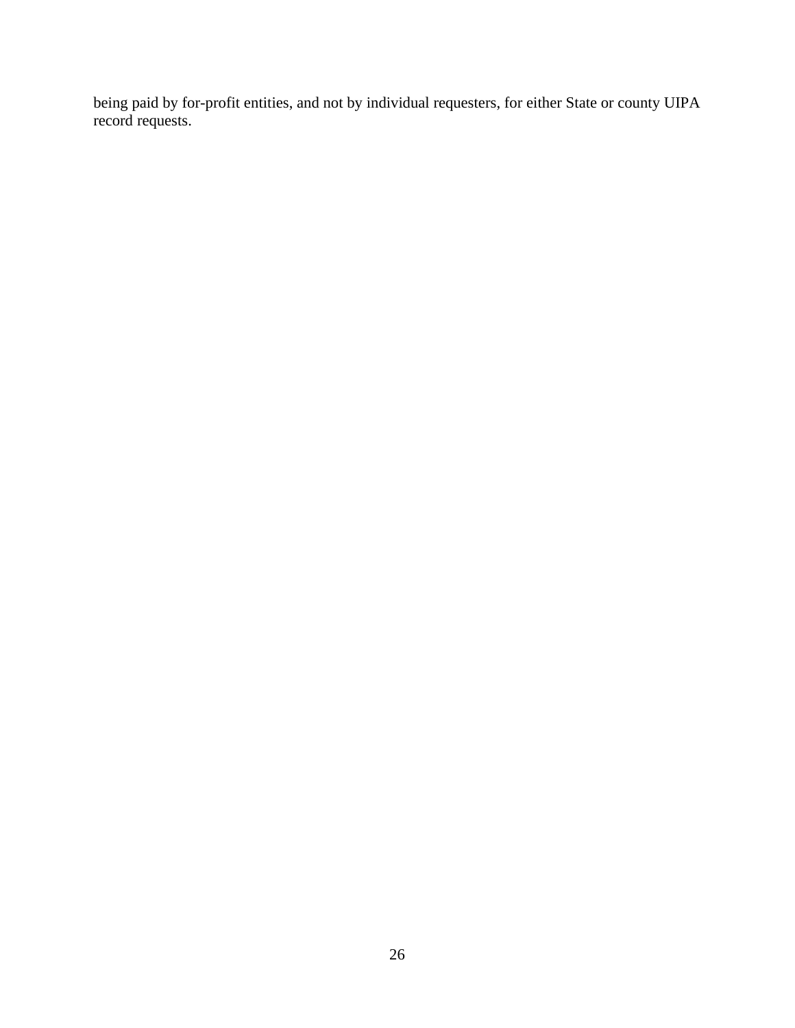being paid by for-profit entities, and not by individual requesters, for either State or county UIPA record requests.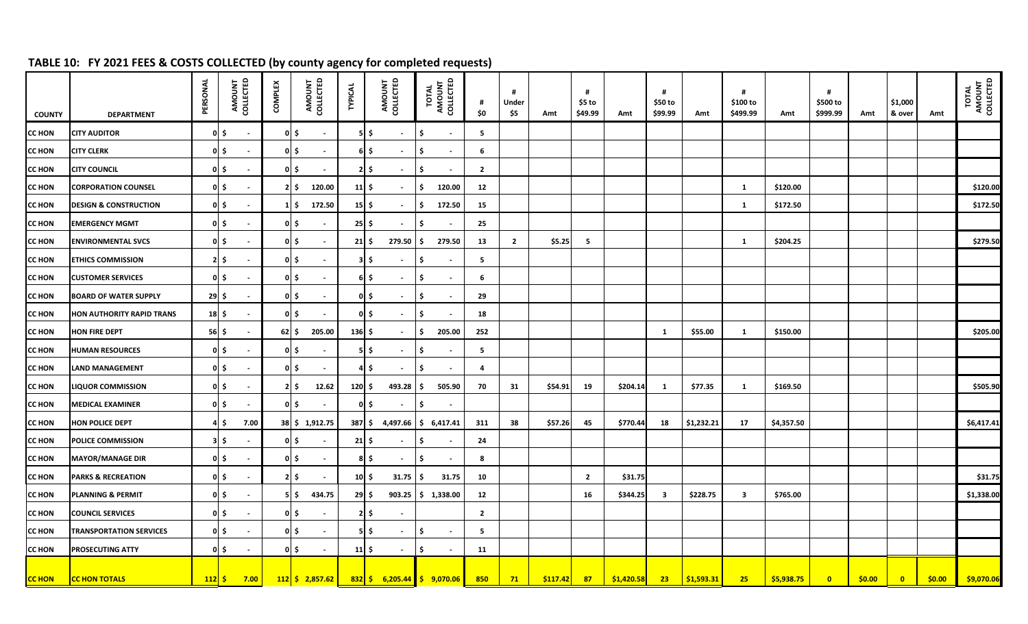# **TABLE 10: FY 2021 FEES & COSTS COLLECTED (by county agency for completed requests)**

| <b>COUNTY</b> | <b>DEPARTMENT</b>                | PERSONAL                       | AMOUNT<br>COLLECTED    | <b>COMPLEX</b> | AMOUNT<br>COLLECTED                | <b>TYPICAL</b>      | AMOUNT<br>COLLECTED                  | TOTAL<br>AMOUNT<br>COLLECTED   | #<br>\$0       | #<br>Under<br>\$5 | Amt      | #<br>\$5 to<br>\$49.99 | Amt        | \$50 to<br>\$99.99 | Amt        | #<br>\$100 to<br>\$499.99 | Amt        | #<br>\$500 to<br>\$999.99 | Amt    | \$1,000<br>& over | Amt    | TOTAL<br>AMOUNT<br>COLLECTED |
|---------------|----------------------------------|--------------------------------|------------------------|----------------|------------------------------------|---------------------|--------------------------------------|--------------------------------|----------------|-------------------|----------|------------------------|------------|--------------------|------------|---------------------------|------------|---------------------------|--------|-------------------|--------|------------------------------|
| <b>CC HON</b> | <b>CITY AUDITOR</b>              |                                | 0 S<br>$\sim$          |                | 0 <sub>l</sub><br>$\sim$           |                     | $5$ \$<br>$\sim$                     | Ŝ.<br>$\sim$                   | 5              |                   |          |                        |            |                    |            |                           |            |                           |        |                   |        |                              |
| <b>CC HON</b> | <b>CITY CLERK</b>                |                                | 0 \$                   |                | 0 I S<br>$\sim$                    |                     | 6 \$<br>$\sim$                       | Ŝ.                             | 6              |                   |          |                        |            |                    |            |                           |            |                           |        |                   |        |                              |
| <b>CC HON</b> | <b>CITY COUNCIL</b>              |                                | 0 S                    |                | 0 S<br>$\blacksquare$              |                     | $2 \, \simeq$<br>$\sim$              | Ŝ.                             | $\overline{2}$ |                   |          |                        |            |                    |            |                           |            |                           |        |                   |        |                              |
| <b>CC HON</b> | <b>CORPORATION COUNSEL</b>       |                                | 이 \$                   |                | 120.00<br>$2 \mid \mathsf{S} \mid$ | $11 \,$ \$          | $\sim$                               | 120.00<br>-S                   | 12             |                   |          |                        |            |                    |            | 1                         | \$120.00   |                           |        |                   |        | \$120.00                     |
| <b>CC HON</b> | <b>DESIGN &amp; CONSTRUCTION</b> |                                | 0 S<br>$\sim$          |                | 172.50<br>1 S                      | $15$ \$             | $\sim$                               | 172.50<br>-S                   | 15             |                   |          |                        |            |                    |            | $\mathbf{1}$              | \$172.50   |                           |        |                   |        | \$172.50                     |
| <b>CC HON</b> | <b>EMERGENCY MGMT</b>            |                                | 이 \$                   | $0 \mid \xi$   | $\blacksquare$                     | $25 \mid 5$         |                                      | \$                             | 25             |                   |          |                        |            |                    |            |                           |            |                           |        |                   |        |                              |
| <b>CC HON</b> | <b>ENVIRONMENTAL SVCS</b>        |                                | 0 S                    |                | 0 S                                | $21 \mid 5$         | $279.50$   \$                        | 279.50                         | 13             | $\overline{2}$    | \$5.25   | 5                      |            |                    |            | $\mathbf{1}$              | \$204.25   |                           |        |                   |        | \$279.50                     |
| <b>CC HON</b> | <b>ETHICS COMMISSION</b>         |                                | ۱.\$<br>$\sim$         |                | 이 \$<br>$\blacksquare$             |                     | $3 \overline{\phantom{a}}$<br>$\sim$ | -S<br>$\sim$                   | 5              |                   |          |                        |            |                    |            |                           |            |                           |        |                   |        |                              |
| <b>CC HON</b> | <b>CUSTOMER SERVICES</b>         |                                | 0 S<br>$\sim$          |                | 0 S<br>$\sim$                      |                     | $6 \mid 5$<br>$\sim$                 | -S<br>$\sim$                   | 6              |                   |          |                        |            |                    |            |                           |            |                           |        |                   |        |                              |
| <b>CC HON</b> | <b>BOARD OF WATER SUPPLY</b>     | $29 \mid \xi$                  |                        |                | 0 I S<br>$\blacksquare$            |                     | $0 \leq$<br>$\sim$                   | Ŝ.                             | 29             |                   |          |                        |            |                    |            |                           |            |                           |        |                   |        |                              |
| <b>CC HON</b> | HON AUTHORITY RAPID TRANS        | 18 \$                          |                        |                | 0 S<br>$\blacksquare$              |                     | $0 \leq$<br>$\sim$                   | Ŝ.                             | 18             |                   |          |                        |            |                    |            |                           |            |                           |        |                   |        |                              |
| <b>CC HON</b> | HON FIRE DEPT                    | 56 \$                          |                        | $62 \mid \xi$  | 205.00                             | $136 \,$ \$         |                                      | 205.00<br>S                    | 252            |                   |          |                        |            | 1                  | \$55.00    | $\mathbf{1}$              | \$150.00   |                           |        |                   |        | \$205.00                     |
| <b>CC HON</b> | <b>HUMAN RESOURCES</b>           |                                | $0 \mid \xi$<br>$\sim$ |                | 0 S<br>$\sim$                      |                     | $5$ \$<br>$\sim$                     | Ŝ.<br>$\sim$                   | 5              |                   |          |                        |            |                    |            |                           |            |                           |        |                   |        |                              |
| <b>CC HON</b> | LAND MANAGEMENT                  |                                | 0 S                    |                | $0 \mid \xi$<br>$\blacksquare$     |                     | $4 \mid \xi$<br>$\sim$               | Ŝ.                             | 4              |                   |          |                        |            |                    |            |                           |            |                           |        |                   |        |                              |
| <b>CC HON</b> | <b>LIQUOR COMMISSION</b>         |                                | 0 \$                   |                | 12.62<br>$2 \mid \mathsf{S} \mid$  | $120 \,$ \$         | 493.28                               | 505.90<br>l S                  | 70             | 31                | \$54.91  | 19                     | \$204.14   | 1                  | \$77.35    | $\mathbf{1}$              | \$169.50   |                           |        |                   |        | \$505.90                     |
| <b>CC HON</b> | <b>MEDICAL EXAMINER</b>          |                                | 이 \$                   |                | 이 \$<br>$\blacksquare$             |                     | $0 \mid \xi$<br>$\sim$               | ۱\$.                           |                |                   |          |                        |            |                    |            |                           |            |                           |        |                   |        |                              |
| <b>CC HON</b> | HON POLICE DEPT                  |                                | 4 \$<br>7.00           |                | 38 \$ 1,912.75                     | 387 \$              |                                      | $4,497.66$ $\uparrow$ 6,417.41 | 311            | 38                | \$57.26  | 45                     | \$770.44   | 18                 | \$1,232.21 | 17                        | \$4,357.50 |                           |        |                   |        | \$6,417.41                   |
| <b>CC HON</b> | POLICE COMMISSION                |                                | $3 \mid \xi$           |                | 0 S<br>$\blacksquare$              | $21 \,$ \$          |                                      | Ŝ.                             | 24             |                   |          |                        |            |                    |            |                           |            |                           |        |                   |        |                              |
| <b>CC HON</b> | <b>MAYOR/MANAGE DIR</b>          |                                | 0 S                    |                | 0 S<br>$\blacksquare$              |                     | 8 \$<br>$\sim$                       | Ŝ.<br>$\sim$                   | 8              |                   |          |                        |            |                    |            |                           |            |                           |        |                   |        |                              |
| <b>CC HON</b> | <b>PARKS &amp; RECREATION</b>    |                                | 0 S                    |                | 21 <sup>5</sup>                    | $10 \mid \xi$       | $31.75$ $\frac{1}{5}$                | 31.75                          | 10             |                   |          | $\overline{2}$         | \$31.75    |                    |            |                           |            |                           |        |                   |        | \$31.75                      |
| <b>CC HON</b> | <b>PLANNING &amp; PERMIT</b>     |                                | $0 \leq$<br>$\sim$     |                | 434.75<br>5 S                      | $29 \mid \xi$       |                                      | 903.25 \$ 1,338.00             | 12             |                   |          | 16                     | \$344.25   | -3                 | \$228.75   | $\mathbf{3}$              | \$765.00   |                           |        |                   |        | \$1,338.00                   |
| <b>CC HON</b> | <b>COUNCIL SERVICES</b>          |                                | 0 S                    |                | 0 I S<br>$\sim$                    |                     | $2 \mid 5$                           |                                | $\overline{2}$ |                   |          |                        |            |                    |            |                           |            |                           |        |                   |        |                              |
| <b>CC HON</b> | <b>TRANSPORTATION SERVICES</b>   |                                | 0 \$                   |                | 0 S<br>$\blacksquare$              |                     | $5$ \$<br>$\sim$                     | Ŝ.                             | 5              |                   |          |                        |            |                    |            |                           |            |                           |        |                   |        |                              |
| <b>CC HON</b> | PROSECUTING ATTY                 |                                | 0 S                    |                | 0 S<br>$\blacksquare$              | $11 \, \frac{1}{2}$ | $\sim$                               | \$                             | 11             |                   |          |                        |            |                    |            |                           |            |                           |        |                   |        |                              |
| <b>CC HON</b> | <b>CC HON TOTALS</b>             | $112\overline{\phantom{a}}\xi$ | 7.00                   |                | $112 \mid 5 \mid 2,857.62 \mid$    |                     | $832$ \$ 6,205.44 \$ 9,070.06        |                                | 850            | 71                | \$117.42 | 87                     | \$1,420.58 | 23                 | \$1,593.31 | 25                        | \$5,938.75 | $\mathbf{0}$              | \$0.00 | $\bullet$         | \$0.00 | \$9,070.06                   |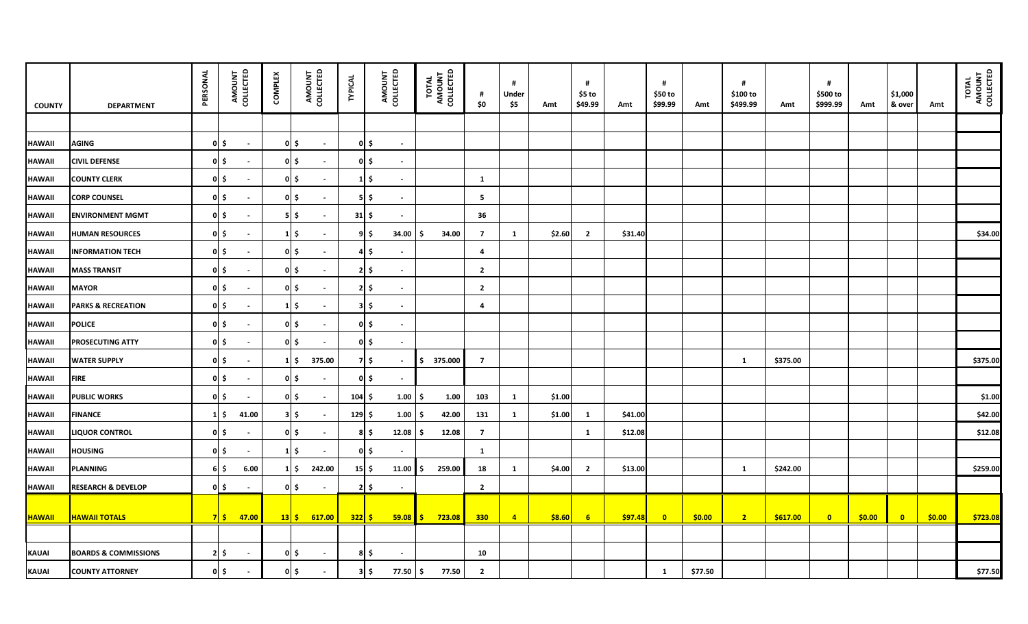| <b>COUNTY</b> | <b>DEPARTMENT</b>               | PERSONAL | AMOUNT<br>COLLECTED            | <b>COMPLEX</b> | AMOUNT<br>COLLECTED                 | <b>TYPICAL</b>                      | AMOUNT<br>COLLECTED    | TOTAL<br>AMOUNT<br>COLLECTED | #<br>\$0       | #<br>Under<br>\$5 | Amt    | #<br>$$5$ to<br>\$49.99 | Amt     | #<br>\$50 to<br>\$99.99 | Amt     | #<br>\$100 to<br>\$499.99 | Amt      | #<br>\$500 to<br>\$999.99 | Amt    | \$1,000<br>& over | Amt    | TOTAL<br>AMOUNT<br>COLLECTED |
|---------------|---------------------------------|----------|--------------------------------|----------------|-------------------------------------|-------------------------------------|------------------------|------------------------------|----------------|-------------------|--------|-------------------------|---------|-------------------------|---------|---------------------------|----------|---------------------------|--------|-------------------|--------|------------------------------|
|               |                                 |          |                                |                |                                     |                                     |                        |                              |                |                   |        |                         |         |                         |         |                           |          |                           |        |                   |        |                              |
| <b>HAWAII</b> | <b>AGING</b>                    |          | $0 \mid \xi$<br>$\blacksquare$ |                | $0\overline{\phantom{a}}$<br>$\sim$ | $0 \mid \xi \mid$                   | $\sim$                 |                              |                |                   |        |                         |         |                         |         |                           |          |                           |        |                   |        |                              |
| <b>HAWAII</b> | <b>CIVIL DEFENSE</b>            |          | 이 \$<br>$\sim$                 |                | $0 \mid \xi$<br>$\sim$              | $0 \mid \xi \mid$                   | $\sim$                 |                              |                |                   |        |                         |         |                         |         |                           |          |                           |        |                   |        |                              |
| <b>HAWAII</b> | <b>COUNTY CLERK</b>             |          | $0 \mid \xi$<br>$\sim$         |                | $0 \mid \xi$<br>$\sim$              |                                     | $1\vert$ \$<br>$\sim$  |                              | <b>1</b>       |                   |        |                         |         |                         |         |                           |          |                           |        |                   |        |                              |
| <b>HAWAII</b> | <b>CORP COUNSEL</b>             |          | 이 \$<br>$\blacksquare$         |                | 이 \$                                | $5 \, \overline{\hspace{1ex}}$      | $\sim$                 |                              | 5              |                   |        |                         |         |                         |         |                           |          |                           |        |                   |        |                              |
| <b>HAWAII</b> | <b>ENVIRONMENT MGMT</b>         |          | $0 \mid \xi$<br>$\blacksquare$ |                | $5$ \$<br>$\sim$                    | $31 \mid 5$                         | $\blacksquare$         |                              | 36             |                   |        |                         |         |                         |         |                           |          |                           |        |                   |        |                              |
| <b>HAWAII</b> | <b>HUMAN RESOURCES</b>          |          | $0 \mid \xi$<br>$\sim$         |                | $1 \mid \xi$<br>$\sim$              | 9   \$                              | 34.00                  | 34.00<br>l S                 | $\overline{7}$ | $\mathbf{1}$      | \$2.60 | $\overline{2}$          | \$31.40 |                         |         |                           |          |                           |        |                   |        | \$34.00                      |
| <b>HAWAII</b> | <b>INFORMATION TECH</b>         |          | $0 \mid \xi$<br>$\sim$         |                | $0 \mid \xi$<br>$\sim$              |                                     | 45<br>$\sim$           |                              | 4              |                   |        |                         |         |                         |         |                           |          |                           |        |                   |        |                              |
| <b>HAWAII</b> | <b>MASS TRANSIT</b>             |          | $0 \mid \xi$                   |                | 이 \$                                | 2 I S                               | $\blacksquare$         |                              | $\overline{2}$ |                   |        |                         |         |                         |         |                           |          |                           |        |                   |        |                              |
| <b>HAWAII</b> | <b>MAYOR</b>                    |          | $0 \mid \xi$<br>$\sim$         |                | 0 I \$                              | $2 \, \overline{\phantom{a}}\,$     | $\sim$                 |                              | $\overline{2}$ |                   |        |                         |         |                         |         |                           |          |                           |        |                   |        |                              |
| <b>HAWAII</b> | <b>PARKS &amp; RECREATION</b>   |          | $0 \mid \xi$<br>$\sim$         |                | $1$ \$<br>$\sim$                    | $3 \mid \xi$                        | $\sim$                 |                              | 4              |                   |        |                         |         |                         |         |                           |          |                           |        |                   |        |                              |
| <b>HAWAII</b> | <b>POLICE</b>                   |          | $0 \mid \xi$<br>$\sim$         |                | 이 \$<br>$\sim$                      | 0 S                                 | $\sim$                 |                              |                |                   |        |                         |         |                         |         |                           |          |                           |        |                   |        |                              |
| <b>HAWAII</b> | PROSECUTING ATTY                |          | $0 \mid \xi$<br>$\sim$         |                | $0 \mid \xi$<br>$\sim$              |                                     | $0 \mid \xi$<br>$\sim$ |                              |                |                   |        |                         |         |                         |         |                           |          |                           |        |                   |        |                              |
| <b>HAWAII</b> | <b>WATER SUPPLY</b>             |          | 이 \$<br>$\sim$                 |                | $1 \mid \xi$<br>375.00              | 7 S                                 | $\sim$                 | \$375.000                    | $\overline{7}$ |                   |        |                         |         |                         |         | $\mathbf{1}$              | \$375.00 |                           |        |                   |        | \$375.00                     |
| <b>HAWAII</b> | <b>FIRE</b>                     |          | $0 \mid \xi$<br>$\blacksquare$ |                | 이 \$<br>$\sim$                      | $0 \mid \xi \mid$                   | $\sim$                 |                              |                |                   |        |                         |         |                         |         |                           |          |                           |        |                   |        |                              |
| <b>HAWAII</b> | <b>PUBLIC WORKS</b>             |          | 이 \$<br>$\sim$                 |                | $0 \leq$<br>$\sim$                  | $104 \,$ \$                         | 1.00                   | I \$<br>1.00                 | 103            | $\mathbf{1}$      | \$1.00 |                         |         |                         |         |                           |          |                           |        |                   |        | \$1.00                       |
| <b>HAWAII</b> | <b>FINANCE</b>                  |          | $1\vert \xi$<br>41.00          |                | $3 \mid \frac{1}{2}$<br>$\sim$      | $129 \mid 5$                        | $1.00$   \$            | 42.00                        | 131            | $\mathbf{1}$      | \$1.00 | $\mathbf{1}$            | \$41.00 |                         |         |                           |          |                           |        |                   |        | \$42.00                      |
| <b>HAWAII</b> | <b>LIQUOR CONTROL</b>           |          | $0 \mid \xi$<br>$\sim$         |                | 이 \$                                | 8 I S                               | 12.08                  | 12.08<br>۱s                  | $\overline{7}$ |                   |        | $\mathbf{1}$            | \$12.08 |                         |         |                           |          |                           |        |                   |        | \$12.08                      |
| <b>HAWAII</b> | <b>HOUSING</b>                  |          | $0 \mid \xi$<br>$\sim$         |                | $1 \mid \xi$                        | $0 \mid \xi \mid$                   | $\blacksquare$         |                              | <b>1</b>       |                   |        |                         |         |                         |         |                           |          |                           |        |                   |        |                              |
| <b>HAWAII</b> | <b>PLANNING</b>                 |          | 6.00<br>6   \$                 |                | 242.00<br>$1 \mid \xi$              | $15 \mid \xi$                       | $11.00$ \$             | 259.00                       | 18             | $\mathbf{1}$      | \$4.00 | $\overline{2}$          | \$13.00 |                         |         | $\mathbf{1}$              | \$242.00 |                           |        |                   |        | \$259.00                     |
| <b>HAWAII</b> | <b>RESEARCH &amp; DEVELOP</b>   |          | $0 \mid \xi$<br>$\sim$         |                | $0 \leq$<br>$\sim$                  | $2 \mid \xi$                        | $\sim$                 |                              | $\overline{2}$ |                   |        |                         |         |                         |         |                           |          |                           |        |                   |        |                              |
| <b>HAWAII</b> | <b>HAWAII TOTALS</b>            |          | 75<br>47.00                    |                | $13$ \$ 617.00                      | $322\overline{\smash{)}\mathsf{S}}$ |                        | $59.08$ \$ 723.08            | 330            | $\overline{a}$    | \$8.60 | 6 <sup>1</sup>          | \$97.48 | $\overline{\mathbf{0}}$ | \$0.00  | $\overline{2}$            | \$617.00 | $\overline{0}$            | \$0.00 | $\bullet$         | \$0.00 | \$723.08                     |
|               |                                 |          |                                |                |                                     |                                     |                        |                              |                |                   |        |                         |         |                         |         |                           |          |                           |        |                   |        |                              |
| KAUAI         | <b>BOARDS &amp; COMMISSIONS</b> |          | $2 \mid 5$<br>$\sim$           |                | $0 \mid \xi$<br>$\sim$              | 8   \$                              | $\sim$                 |                              | 10             |                   |        |                         |         |                         |         |                           |          |                           |        |                   |        |                              |
| KAUAI         | <b>COUNTY ATTORNEY</b>          |          | $0 \mid \xi$<br>$\blacksquare$ |                | $0 \leq$<br>$\sim$                  | $3 \mid \frac{1}{2}$                | 77.50                  | 77.50<br>I\$                 | $\overline{2}$ |                   |        |                         |         | $\mathbf{1}$            | \$77.50 |                           |          |                           |        |                   |        | \$77.50                      |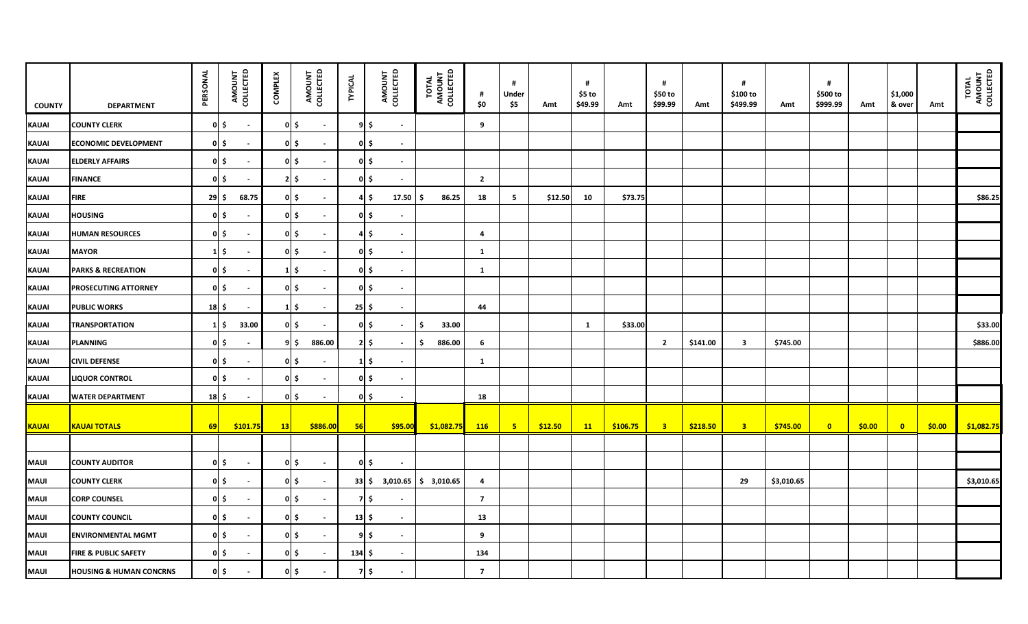| <b>COUNTY</b> | <b>DEPARTMENT</b>                  | PERSONAL      | AMOUNT<br>COLLECTED                    | <b>COMPLEX</b> | AMOUNT<br>COLLECTED                 | <b>TYPICAL</b> | AMOUNT<br>COLLECTED            | TOTAL<br>AMOUNT<br>COLLECTED | #<br>\$0       | #<br>Under<br>\$5 | Amt     | #<br>\$5 to<br>\$49.99 | Amt      | #<br>\$50 to<br>\$99.99 | Amt      | #<br>\$100 to<br>\$499.99 | Amt        | #<br>\$500 to<br>\$999.99 | Amt    | \$1,000<br>& over | Amt    | TOTAL<br>AMOUNT<br>COLLECTED |
|---------------|------------------------------------|---------------|----------------------------------------|----------------|-------------------------------------|----------------|--------------------------------|------------------------------|----------------|-------------------|---------|------------------------|----------|-------------------------|----------|---------------------------|------------|---------------------------|--------|-------------------|--------|------------------------------|
| <b>KAUAI</b>  | <b>COUNTY CLERK</b>                |               | $0 \mid \xi$<br>$\blacksquare$         |                | $0 \mid \xi$<br>$\blacksquare$      |                | 95<br>$\sim$                   |                              | 9              |                   |         |                        |          |                         |          |                           |            |                           |        |                   |        |                              |
| KAUAI         | <b>ECONOMIC DEVELOPMENT</b>        |               | $0 \mid \xi$<br>$\blacksquare$         |                | 0 \$<br>$\sim$                      |                | $0 \mid \xi$<br>$\sim$         |                              |                |                   |         |                        |          |                         |          |                           |            |                           |        |                   |        |                              |
| <b>KAUAI</b>  | <b>ELDERLY AFFAIRS</b>             |               | $0 \mid \xi$<br>$\sim$                 |                | 이 \$<br>$\sim$                      |                | $0 \mid \xi \mid$<br>$\sim$    |                              |                |                   |         |                        |          |                         |          |                           |            |                           |        |                   |        |                              |
| KAUAI         | <b>FINANCE</b>                     |               | $0 \mid \xi$<br>$\mathbf{r}$           |                | $21\frac{1}{2}$<br>$\sim$           |                | $0 \mid \xi \mid$<br>$\sim$    |                              | $\overline{2}$ |                   |         |                        |          |                         |          |                           |            |                           |        |                   |        |                              |
| <b>KAUAI</b>  | <b>FIRE</b>                        | $29 \mid \xi$ | 68.75                                  |                | 이 \$<br>$\sim$                      |                | 17.50<br>4 \$                  | 86.25<br>l S                 | 18             | 5                 | \$12.50 | 10                     | \$73.75  |                         |          |                           |            |                           |        |                   |        | \$86.25                      |
| KAUAI         | <b>HOUSING</b>                     |               | $0 \mid \xi$<br>$\sim$                 |                | $0$ \$<br>$\sim$                    |                | $0 \mid \xi$<br>$\sim$         |                              |                |                   |         |                        |          |                         |          |                           |            |                           |        |                   |        |                              |
| <b>KAUAI</b>  | <b>HUMAN RESOURCES</b>             |               | $0 \mid \xi$<br>$\sim$                 |                | 이 \$<br>$\sim$                      |                | 4 \$<br>$\sim$                 |                              | $\overline{a}$ |                   |         |                        |          |                         |          |                           |            |                           |        |                   |        |                              |
| <b>KAUAI</b>  | <b>MAYOR</b>                       |               | $1\vert \xi$<br>$\blacksquare$         |                | $0 \mid \xi$<br>$\sim$              |                | $0 \mid \xi \mid$<br>$\sim$    |                              | 1              |                   |         |                        |          |                         |          |                           |            |                           |        |                   |        |                              |
| <b>KAUAI</b>  | <b>PARKS &amp; RECREATION</b>      |               | $0 \mid \xi$<br>$\blacksquare$         |                | $1\vert \xi$<br>$\sim$              |                | $0 \mid \xi$<br>$\blacksquare$ |                              | <b>1</b>       |                   |         |                        |          |                         |          |                           |            |                           |        |                   |        |                              |
| <b>KAUAI</b>  | PROSECUTING ATTORNEY               |               | $0 \mid \xi$<br>$\blacksquare$         |                | $0 \mid \xi$<br>$\blacksquare$      |                | 0 S<br>$\sim$                  |                              |                |                   |         |                        |          |                         |          |                           |            |                           |        |                   |        |                              |
| KAUAI         | <b>PUBLIC WORKS</b>                |               | $18$ \$<br>$\sim$                      |                | $1\overline{\phantom{0}}$<br>$\sim$ | $25 \mid \xi$  | $\sim$                         |                              | 44             |                   |         |                        |          |                         |          |                           |            |                           |        |                   |        |                              |
| <b>KAUAI</b>  | <b>TRANSPORTATION</b>              |               | 33.00<br>$1\vert \xi$                  |                | $0 \mid \xi$<br>$\sim$              |                | $0 \mid \xi$<br>$\sim$         | 33.00<br>-\$                 |                |                   |         | 1                      | \$33.00  |                         |          |                           |            |                           |        |                   |        | \$33.00                      |
| KAUAI         | <b>PLANNING</b>                    |               | $0 \mid \xi$<br>$\sim$                 |                | 9 \$<br>886.00                      |                | $2 \mid 5 \mid$<br>$\sim$      | 886.00<br>-\$                | 6              |                   |         |                        |          | $\overline{2}$          | \$141.00 | $\overline{\mathbf{3}}$   | \$745.00   |                           |        |                   |        | \$886.00                     |
| KAUAI         | <b>CIVIL DEFENSE</b>               |               | $0 \mid \xi$<br>$\blacksquare$         |                | 이 \$<br>$\sim$                      |                | $1\vert \xi$<br>$\sim$         |                              | <b>1</b>       |                   |         |                        |          |                         |          |                           |            |                           |        |                   |        |                              |
| KAUAI         | <b>LIQUOR CONTROL</b>              |               | $0 \mid \xi \rangle$<br>$\blacksquare$ |                | 이 \$<br>$\sim$                      |                | 이 \$<br>$\blacksquare$         |                              |                |                   |         |                        |          |                         |          |                           |            |                           |        |                   |        |                              |
| KAUAI         | <b>WATER DEPARTMENT</b>            | 18 \$         | $\sim$                                 |                | 이 \$<br>$\sim$                      |                | $0 \mid \xi$<br>$\sim$         |                              | 18             |                   |         |                        |          |                         |          |                           |            |                           |        |                   |        |                              |
| <b>KAUAI</b>  | <b>KAUAI TOTALS</b>                | 69            | \$101.75                               | 13             | \$886.00                            | 56             | \$95.00                        | \$1,082.75                   | 116            | $-5$              | \$12.50 | 11                     | \$106.75 | $\overline{\mathbf{3}}$ | \$218.50 | $-3$                      | \$745.00   | $\overline{\mathbf{0}}$   | \$0.00 | $\bullet$         | \$0.00 | \$1,082.75                   |
|               |                                    |               |                                        |                |                                     |                |                                |                              |                |                   |         |                        |          |                         |          |                           |            |                           |        |                   |        |                              |
| <b>MAUI</b>   | <b>COUNTY AUDITOR</b>              |               | $0 \mid \xi$<br>$\mathbf{r}$           |                | $0 \mid \xi$<br>$\sim$              |                | $0 \mid \xi$<br>$\sim$         |                              |                |                   |         |                        |          |                         |          |                           |            |                           |        |                   |        |                              |
| <b>MAUI</b>   | <b>COUNTY CLERK</b>                |               | $0 \mid \xi$<br>$\sim$                 |                | 0 \$<br>$\sim$                      |                | 33 \$ 3,010.65                 | \$3,010.65                   | 4              |                   |         |                        |          |                         |          | 29                        | \$3,010.65 |                           |        |                   |        | \$3,010.65                   |
| <b>MAUI</b>   | <b>CORP COUNSEL</b>                |               | $0 \mid \xi$<br>$\blacksquare$         |                | $0 \mid \xi$<br>$\sim$              |                | 7 I \$                         |                              | $\overline{7}$ |                   |         |                        |          |                         |          |                           |            |                           |        |                   |        |                              |
| <b>MAUI</b>   | <b>COUNTY COUNCIL</b>              |               | 이 \$<br>$\sim$                         |                | $0 \mid \xi$<br>$\sim$              | $13 \mid 5$    | $\sim$                         |                              | 13             |                   |         |                        |          |                         |          |                           |            |                           |        |                   |        |                              |
| <b>MAUI</b>   | <b>ENVIRONMENTAL MGMT</b>          |               | $0 \mid \xi$<br>$\sim$                 |                | $0 \mid \xi$<br>$\sim$              |                | 95<br>$\sim$                   |                              | 9              |                   |         |                        |          |                         |          |                           |            |                           |        |                   |        |                              |
| <b>MAUI</b>   | <b>FIRE &amp; PUBLIC SAFETY</b>    |               | $0 \mid \xi \rangle$                   |                | $0 \mid \xi$<br>$\sim$              | $134 \,$ \$    | $\blacksquare$                 |                              | 134            |                   |         |                        |          |                         |          |                           |            |                           |        |                   |        |                              |
| MAUI          | <b>HOUSING &amp; HUMAN CONCRNS</b> |               | $0 \mid \xi$<br>$\blacksquare$         |                | $0 \mid \xi$<br>$\sim$              |                | $7$ \$<br>$\blacksquare$       |                              | $\overline{7}$ |                   |         |                        |          |                         |          |                           |            |                           |        |                   |        |                              |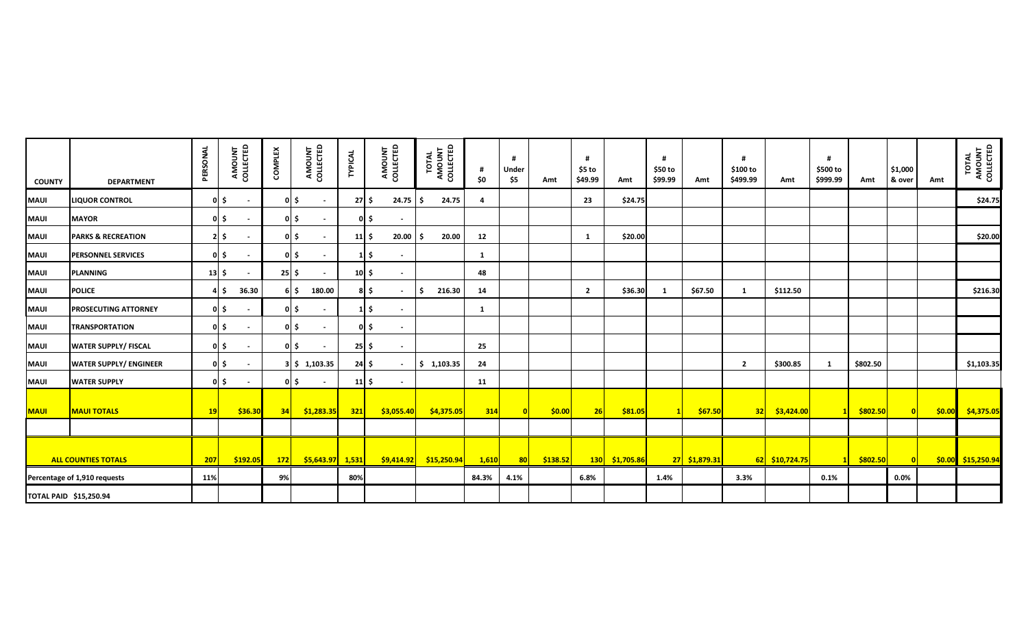| <b>COUNTY</b>                 | <b>DEPARTMENT</b>             | PERSONAL    | AMOUNT<br>COLLECTED    | <b>COMPLEX</b> | AMOUNT<br>COLLECTED            | <b>TYPICAL</b>            | AMOUNT<br>COLLECTED   | TOTAL<br>AMOUNT<br>COLLECTED | \$0            | #<br>Under<br>\$5 | Amt      | #<br>\$5 to<br>\$49.99 | Amt                         | \$50 to<br>\$99.99 | Amt           | \$100 to<br>\$499.99 | Amt            | \$500 to<br>\$999.99 | Amt      | \$1,000<br>& over | Amt | TOTAL<br>AMOUNT<br>COLLECTED |
|-------------------------------|-------------------------------|-------------|------------------------|----------------|--------------------------------|---------------------------|-----------------------|------------------------------|----------------|-------------------|----------|------------------------|-----------------------------|--------------------|---------------|----------------------|----------------|----------------------|----------|-------------------|-----|------------------------------|
| <b>MAUI</b>                   | <b>LIQUOR CONTROL</b>         |             | $0 \mid \xi$           |                | $0 \mid \xi$                   | $27 \mid 5$               | $24.75$ $\frac{1}{5}$ | 24.75                        | $\overline{a}$ |                   |          | 23                     | \$24.75                     |                    |               |                      |                |                      |          |                   |     | \$24.75                      |
| <b>MAUI</b>                   | <b>MAYOR</b>                  |             | $0 \mid \xi$           |                | $0 \mid \xi$                   | $0 \mid \xi$              | $\sim$                |                              |                |                   |          |                        |                             |                    |               |                      |                |                      |          |                   |     |                              |
| MAUI                          | <b>PARKS &amp; RECREATION</b> |             | $2 \mid \xi$           |                | 0 S                            | $11 \,$ \$                | 20.00                 | 20.00                        | 12             |                   |          | 1                      | \$20.00                     |                    |               |                      |                |                      |          |                   |     | \$20.00                      |
| <b>MAUI</b>                   | <b>PERSONNEL SERVICES</b>     |             | $0 \mid \xi$           |                | $0 \mid \xi$                   | $1\vert$ \$               |                       |                              | -1             |                   |          |                        |                             |                    |               |                      |                |                      |          |                   |     |                              |
| <b>MAUI</b>                   | <b>PLANNING</b>               | $13 \mid 5$ |                        | $25$ $\pm$     |                                | $10 \div$                 | $\sim$                |                              | 48             |                   |          |                        |                             |                    |               |                      |                |                      |          |                   |     |                              |
| <b>MAUI</b>                   | <b>POLICE</b>                 |             | 36.30<br>4 \$          |                | 180.00<br>6 I S                | $8 \mid 5$                | $\sim$                | 216.30<br>-S                 | 14             |                   |          | $\overline{2}$         | \$36.30                     | -1                 | \$67.50       | $\mathbf{1}$         | \$112.50       |                      |          |                   |     | \$216.30                     |
| <b>MAUI</b>                   | PROSECUTING ATTORNEY          |             | $0 \mid \xi$           |                | $0 \mid \xi$<br>$\blacksquare$ | $1\overline{\phantom{0}}$ | $\sim$                |                              | -1             |                   |          |                        |                             |                    |               |                      |                |                      |          |                   |     |                              |
| <b>MAUI</b>                   | <b>TRANSPORTATION</b>         |             | $0 \mid \xi$           |                | 0 I S<br>$\blacksquare$        | $0 \mid \xi$              | $\sim$                |                              |                |                   |          |                        |                             |                    |               |                      |                |                      |          |                   |     |                              |
| <b>MAUI</b>                   | <b>WATER SUPPLY/ FISCAL</b>   |             | $0 \mid \xi$<br>$\sim$ |                | 0 <sub>l</sub><br>$\sim$       | $25 \mid \xi$             | $\sim$                |                              | 25             |                   |          |                        |                             |                    |               |                      |                |                      |          |                   |     |                              |
| <b>MAUI</b>                   | <b>WATER SUPPLY/ ENGINEER</b> |             | $0 \mid \xi$<br>$\sim$ |                | $3$ \$ 1,103.35                | $24 \mid \zeta$           |                       | \$1,103.35                   | 24             |                   |          |                        |                             |                    |               | $\overline{2}$       | \$300.85       | $\mathbf{1}$         | \$802.50 |                   |     | \$1,103.35                   |
| <b>MAUI</b>                   | <b>WATER SUPPLY</b>           |             | $0 \mid \xi$           |                | 이 \$<br>$\blacksquare$         | $11 \,$ \$                | $\sim$                |                              | 11             |                   |          |                        |                             |                    |               |                      |                |                      |          |                   |     |                              |
| <b>MAUI</b>                   | <b>MAUI TOTALS</b>            | 19          | \$36.30                | 34             | 51,283.35                      | 321                       | \$3,055.40            | \$4,375.05                   | 314            |                   | \$0.00   | 26                     | \$81.05                     |                    | \$67.50       | 32                   | \$3,424.00     |                      | \$802.50 | $\overline{0}$    |     | $\frac{$0.00}{$4,375.05}$    |
|                               |                               |             |                        |                |                                |                           |                       |                              |                |                   |          |                        |                             |                    |               |                      |                |                      |          |                   |     |                              |
|                               | <b>ALL COUNTIES TOTALS</b>    | 207         | \$192.05               | 172            | <mark>\$5,643.97</mark> 1,531  |                           | $ $ \$9,414.92 $ $    | \$15,250.94                  | 1,610          | 80                | \$138.52 |                        | <mark>130 \$1,705.86</mark> |                    | 27 \$1,879.31 |                      | 62 \$10,724.75 | 11                   | \$802.50 | $\overline{0}$    |     | \$0.00 \$15,250.94           |
|                               | Percentage of 1,910 requests  | 11%         |                        | 9%             |                                | 80%                       |                       |                              | 84.3%          | 4.1%              |          | 6.8%                   |                             | 1.4%               |               | 3.3%                 |                | 0.1%                 |          | 0.0%              |     |                              |
| <b>TOTAL PAID \$15,250.94</b> |                               |             |                        |                |                                |                           |                       |                              |                |                   |          |                        |                             |                    |               |                      |                |                      |          |                   |     |                              |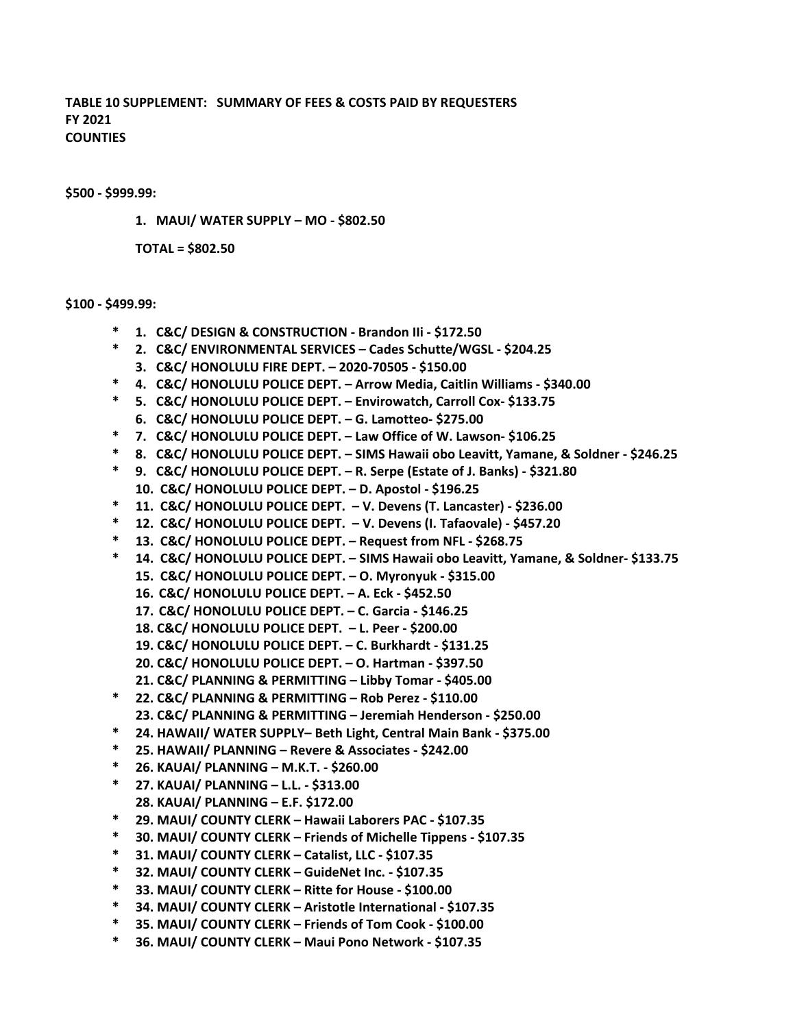**\$500 ‐ \$999.99:** 

**1. MAUI/ WATER SUPPLY – MO ‐ \$802.50**

**TOTAL = \$802.50**

#### **\$100 ‐ \$499.99:**

- **\* 1. C&C/ DESIGN & CONSTRUCTION ‐ Brandon IIi ‐ \$172.50**
- **\* 2. C&C/ ENVIRONMENTAL SERVICES Cades Schutte/WGSL ‐ \$204.25 3. C&C/ HONOLULU FIRE DEPT. – 2020‐70505 ‐ \$150.00**
- **\* 4. C&C/ HONOLULU POLICE DEPT. Arrow Media, Caitlin Williams ‐ \$340.00**
- **\* 5. C&C/ HONOLULU POLICE DEPT. Envirowatch, Carroll Cox‐ \$133.75**
- **6. C&C/ HONOLULU POLICE DEPT. G. Lamotteo‐ \$275.00**
- **\* 7. C&C/ HONOLULU POLICE DEPT. Law Office of W. Lawson‐ \$106.25**
- **\* 8. C&C/ HONOLULU POLICE DEPT. SIMS Hawaii obo Leavitt, Yamane, & Soldner ‐ \$246.25**
- **\* 9. C&C/ HONOLULU POLICE DEPT. R. Serpe (Estate of J. Banks) ‐ \$321.80**
- **10. C&C/ HONOLULU POLICE DEPT. – D. Apostol ‐ \$196.25**
- **\* 11. C&C/ HONOLULU POLICE DEPT. V. Devens (T. Lancaster) ‐ \$236.00**
- **\* 12. C&C/ HONOLULU POLICE DEPT. V. Devens (I. Tafaovale) ‐ \$457.20**
- **\* 13. C&C/ HONOLULU POLICE DEPT. Request from NFL ‐ \$268.75**
- **\* 14. C&C/ HONOLULU POLICE DEPT. SIMS Hawaii obo Leavitt, Yamane, & Soldner‐ \$133.75**
	- **15. C&C/ HONOLULU POLICE DEPT. O. Myronyuk ‐ \$315.00**
	- **16. C&C/ HONOLULU POLICE DEPT. A. Eck ‐ \$452.50**
	- **17. C&C/ HONOLULU POLICE DEPT. C. Garcia ‐ \$146.25**
	- **18. C&C/ HONOLULU POLICE DEPT. L. Peer ‐ \$200.00**
	- **19. C&C/ HONOLULU POLICE DEPT. C. Burkhardt ‐ \$131.25**
	- **20. C&C/ HONOLULU POLICE DEPT. O. Hartman ‐ \$397.50**
	- **21. C&C/ PLANNING & PERMITTING Libby Tomar ‐ \$405.00**
- **\* 22. C&C/ PLANNING & PERMITTING Rob Perez ‐ \$110.00 23. C&C/ PLANNING & PERMITTING – Jeremiah Henderson ‐ \$250.00**
- **\* 24. HAWAII/ WATER SUPPLY– Beth Light, Central Main Bank ‐ \$375.00**
- **\* 25. HAWAII/ PLANNING Revere & Associates ‐ \$242.00**
- **\* 26. KAUAI/ PLANNING M.K.T. ‐ \$260.00**
- **\* 27. KAUAI/ PLANNING L.L. ‐ \$313.00 28. KAUAI/ PLANNING – E.F. \$172.00**
- **\* 29. MAUI/ COUNTY CLERK Hawaii Laborers PAC ‐ \$107.35**
- **\* 30. MAUI/ COUNTY CLERK Friends of Michelle Tippens ‐ \$107.35**
- **\* 31. MAUI/ COUNTY CLERK Catalist, LLC ‐ \$107.35**
- **\* 32. MAUI/ COUNTY CLERK GuideNet Inc. ‐ \$107.35**
- **\* 33. MAUI/ COUNTY CLERK Ritte for House ‐ \$100.00**
- **\* 34. MAUI/ COUNTY CLERK Aristotle International ‐ \$107.35**
- **\* 35. MAUI/ COUNTY CLERK Friends of Tom Cook ‐ \$100.00**
- **\* 36. MAUI/ COUNTY CLERK Maui Pono Network ‐ \$107.35**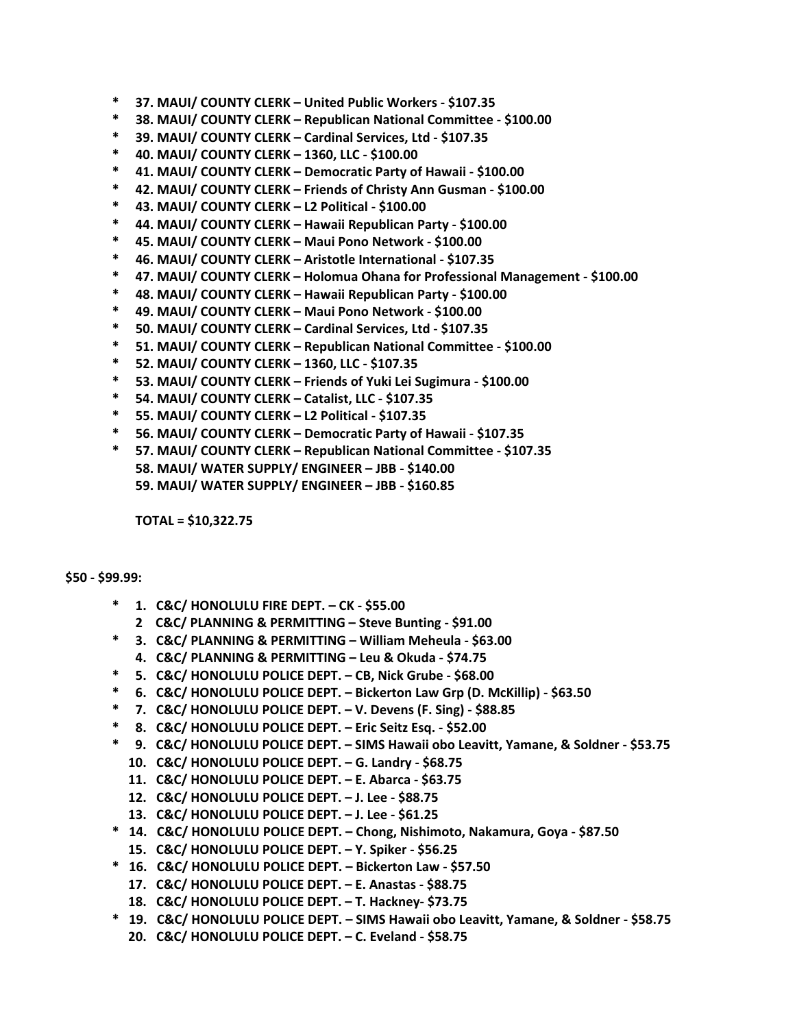- **\* 37. MAUI/ COUNTY CLERK United Public Workers ‐ \$107.35**
- **\* 38. MAUI/ COUNTY CLERK Republican National Committee ‐ \$100.00**
- **\* 39. MAUI/ COUNTY CLERK Cardinal Services, Ltd ‐ \$107.35**
- **\* 40. MAUI/ COUNTY CLERK 1360, LLC ‐ \$100.00**
- **\* 41. MAUI/ COUNTY CLERK Democratic Party of Hawaii ‐ \$100.00**
- **\* 42. MAUI/ COUNTY CLERK Friends of Christy Ann Gusman ‐ \$100.00**
- **\* 43. MAUI/ COUNTY CLERK L2 Political ‐ \$100.00**
- **\* 44. MAUI/ COUNTY CLERK Hawaii Republican Party ‐ \$100.00**
- **\* 45. MAUI/ COUNTY CLERK Maui Pono Network ‐ \$100.00**
- **\* 46. MAUI/ COUNTY CLERK Aristotle International ‐ \$107.35**
- **\* 47. MAUI/ COUNTY CLERK Holomua Ohana for Professional Management ‐ \$100.00**
- **\* 48. MAUI/ COUNTY CLERK Hawaii Republican Party ‐ \$100.00**
- **\* 49. MAUI/ COUNTY CLERK Maui Pono Network ‐ \$100.00**
- **\* 50. MAUI/ COUNTY CLERK Cardinal Services, Ltd ‐ \$107.35**
- **\* 51. MAUI/ COUNTY CLERK Republican National Committee ‐ \$100.00**
- **\* 52. MAUI/ COUNTY CLERK 1360, LLC ‐ \$107.35**
- **\* 53. MAUI/ COUNTY CLERK Friends of Yuki Lei Sugimura ‐ \$100.00**
- **\* 54. MAUI/ COUNTY CLERK Catalist, LLC ‐ \$107.35**
- **\* 55. MAUI/ COUNTY CLERK L2 Political ‐ \$107.35**
- **\* 56. MAUI/ COUNTY CLERK Democratic Party of Hawaii ‐ \$107.35**
- **\* 57. MAUI/ COUNTY CLERK Republican National Committee ‐ \$107.35 58. MAUI/ WATER SUPPLY/ ENGINEER – JBB ‐ \$140.00 59. MAUI/ WATER SUPPLY/ ENGINEER – JBB ‐ \$160.85**

**TOTAL = \$10,322.75** 

#### **\$50 ‐ \$99.99:**

- **\* 1. C&C/ HONOLULU FIRE DEPT. CK ‐ \$55.00**
	- **2 C&C/ PLANNING & PERMITTING Steve Bunting ‐ \$91.00**
- **\* 3. C&C/ PLANNING & PERMITTING William Meheula ‐ \$63.00**
- **4. C&C/ PLANNING & PERMITTING Leu & Okuda ‐ \$74.75**
- **\* 5. C&C/ HONOLULU POLICE DEPT. CB, Nick Grube ‐ \$68.00**
- **\* 6. C&C/ HONOLULU POLICE DEPT. Bickerton Law Grp (D. McKillip) ‐ \$63.50**
- **\* 7. C&C/ HONOLULU POLICE DEPT. V. Devens (F. Sing) ‐ \$88.85**
- **\* 8. C&C/ HONOLULU POLICE DEPT. Eric Seitz Esq. ‐ \$52.00**
- **\* 9. C&C/ HONOLULU POLICE DEPT. SIMS Hawaii obo Leavitt, Yamane, & Soldner ‐ \$53.75**
- **10. C&C/ HONOLULU POLICE DEPT. G. Landry ‐ \$68.75**
- **11. C&C/ HONOLULU POLICE DEPT. E. Abarca ‐ \$63.75**
- **12. C&C/ HONOLULU POLICE DEPT. J. Lee ‐ \$88.75**
- **13. C&C/ HONOLULU POLICE DEPT. J. Lee ‐ \$61.25**
- **\* 14. C&C/ HONOLULU POLICE DEPT. Chong, Nishimoto, Nakamura, Goya ‐ \$87.50**
- **15. C&C/ HONOLULU POLICE DEPT. Y. Spiker ‐ \$56.25**
- **\* 16. C&C/ HONOLULU POLICE DEPT. Bickerton Law ‐ \$57.50**
	- **17. C&C/ HONOLULU POLICE DEPT. E. Anastas ‐ \$88.75**
	- **18. C&C/ HONOLULU POLICE DEPT. T. Hackney‐ \$73.75**
- **\* 19. C&C/ HONOLULU POLICE DEPT. SIMS Hawaii obo Leavitt, Yamane, & Soldner ‐ \$58.75**
	- **20. C&C/ HONOLULU POLICE DEPT. C. Eveland ‐ \$58.75**